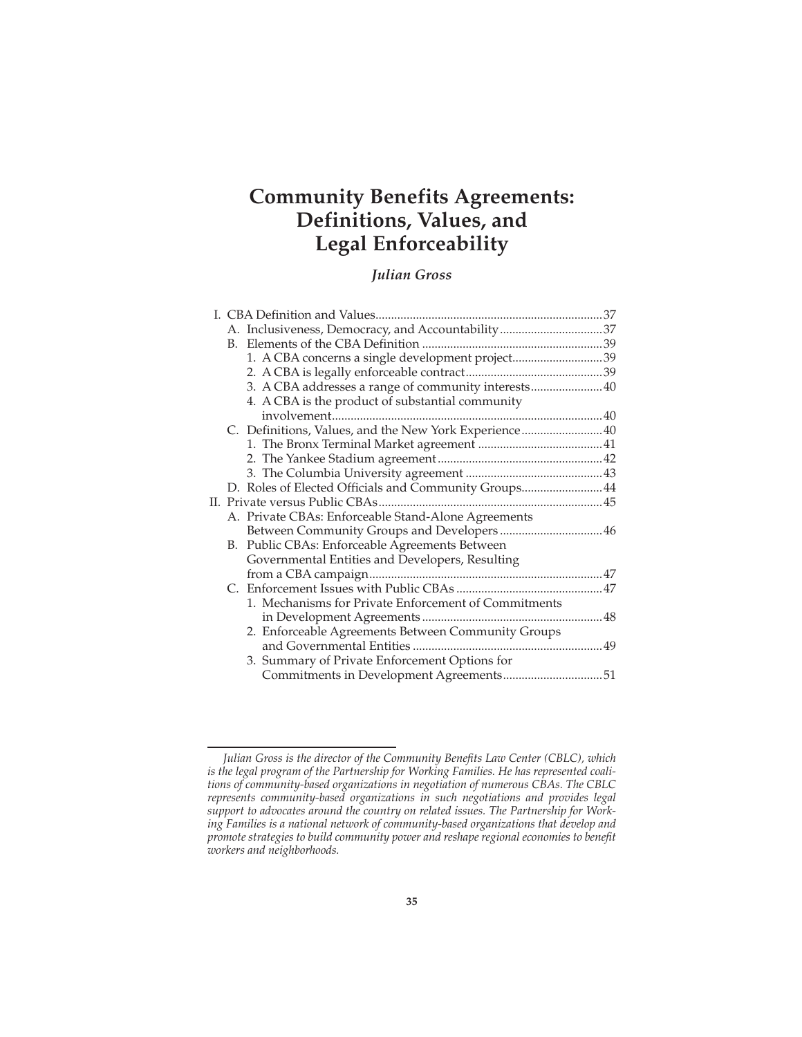# **Community Benefits Agreements: Definitions, Values, and Legal Enforceability**

# *Julian Gross*

|  |  | A. Inclusiveness, Democracy, and Accountability37     |  |
|--|--|-------------------------------------------------------|--|
|  |  |                                                       |  |
|  |  | 1. A CBA concerns a single development project39      |  |
|  |  |                                                       |  |
|  |  | 3. A CBA addresses a range of community interests40   |  |
|  |  | 4. A CBA is the product of substantial community      |  |
|  |  |                                                       |  |
|  |  | C. Definitions, Values, and the New York Experience40 |  |
|  |  |                                                       |  |
|  |  |                                                       |  |
|  |  |                                                       |  |
|  |  | D. Roles of Elected Officials and Community Groups44  |  |
|  |  |                                                       |  |
|  |  | A. Private CBAs: Enforceable Stand-Alone Agreements   |  |
|  |  |                                                       |  |
|  |  | B. Public CBAs: Enforceable Agreements Between        |  |
|  |  | Governmental Entities and Developers, Resulting       |  |
|  |  |                                                       |  |
|  |  |                                                       |  |
|  |  | 1. Mechanisms for Private Enforcement of Commitments  |  |
|  |  |                                                       |  |
|  |  | 2. Enforceable Agreements Between Community Groups    |  |
|  |  |                                                       |  |
|  |  | 3. Summary of Private Enforcement Options for         |  |
|  |  | Commitments in Development Agreements51               |  |

Julian Gross is the director of the Community Benefits Law Center (CBLC), which *is the legal program of the Partnership for Working Families. He has represented coalitions of community-based organizations in negotiation of numerous CBAs. The CBLC represents community-based organizations in such negotiations and provides legal support to advocates around the country on related issues. The Partnership for Working Families is a national network of community-based organizations that develop and promote strategies to build community power and reshape regional economies to benefi t workers and neighborhoods.*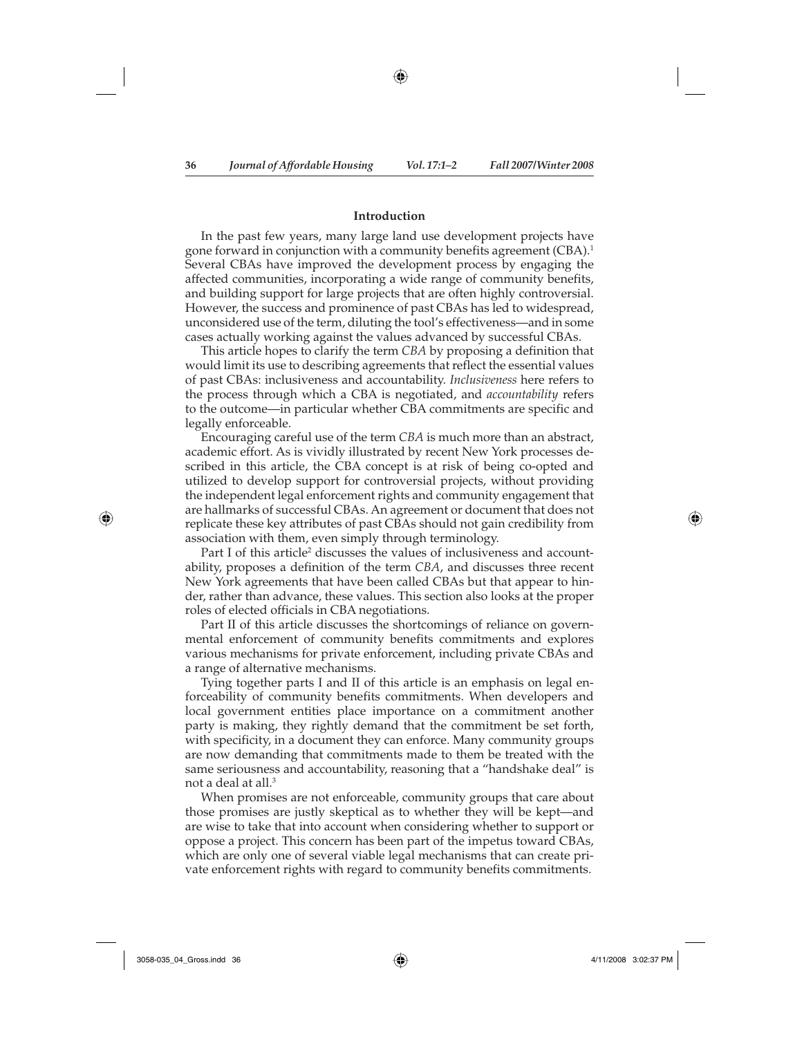#### **Introduction**

In the past few years, many large land use development projects have gone forward in conjunction with a community benefits agreement (CBA).<sup>1</sup> Several CBAs have improved the development process by engaging the affected communities, incorporating a wide range of community benefits, and building support for large projects that are often highly controversial. However, the success and prominence of past CBAs has led to widespread, unconsidered use of the term, diluting the tool's effectiveness—and in some cases actually working against the values advanced by successful CBAs.

This article hopes to clarify the term *CBA* by proposing a definition that would limit its use to describing agreements that reflect the essential values of past CBAs: inclusiveness and accountability. *Inclusiveness* here refers to the process through which a CBA is negotiated, and *accountability* refers to the outcome—in particular whether CBA commitments are specific and legally enforceable.

Encouraging careful use of the term *CBA* is much more than an abstract, academic effort. As is vividly illustrated by recent New York processes described in this article, the CBA concept is at risk of being co-opted and utilized to develop support for controversial projects, without providing the independent legal enforcement rights and community engagement that are hallmarks of successful CBAs. An agreement or document that does not replicate these key attributes of past CBAs should not gain credibility from association with them, even simply through terminology.

Part I of this article<sup>2</sup> discusses the values of inclusiveness and accountability, proposes a definition of the term *CBA*, and discusses three recent New York agreements that have been called CBAs but that appear to hinder, rather than advance, these values. This section also looks at the proper roles of elected officials in CBA negotiations.

Part II of this article discusses the shortcomings of reliance on governmental enforcement of community benefits commitments and explores various mechanisms for private enforcement, including private CBAs and a range of alternative mechanisms.

Tying together parts I and II of this article is an emphasis on legal enforceability of community benefits commitments. When developers and local government entities place importance on a commitment another party is making, they rightly demand that the commitment be set forth, with specificity, in a document they can enforce. Many community groups are now demanding that commitments made to them be treated with the same seriousness and accountability, reasoning that a "handshake deal" is not a deal at all.<sup>3</sup>

When promises are not enforceable, community groups that care about those promises are justly skeptical as to whether they will be kept—and are wise to take that into account when considering whether to support or oppose a project. This concern has been part of the impetus toward CBAs, which are only one of several viable legal mechanisms that can create private enforcement rights with regard to community benefits commitments.

 $\bigoplus$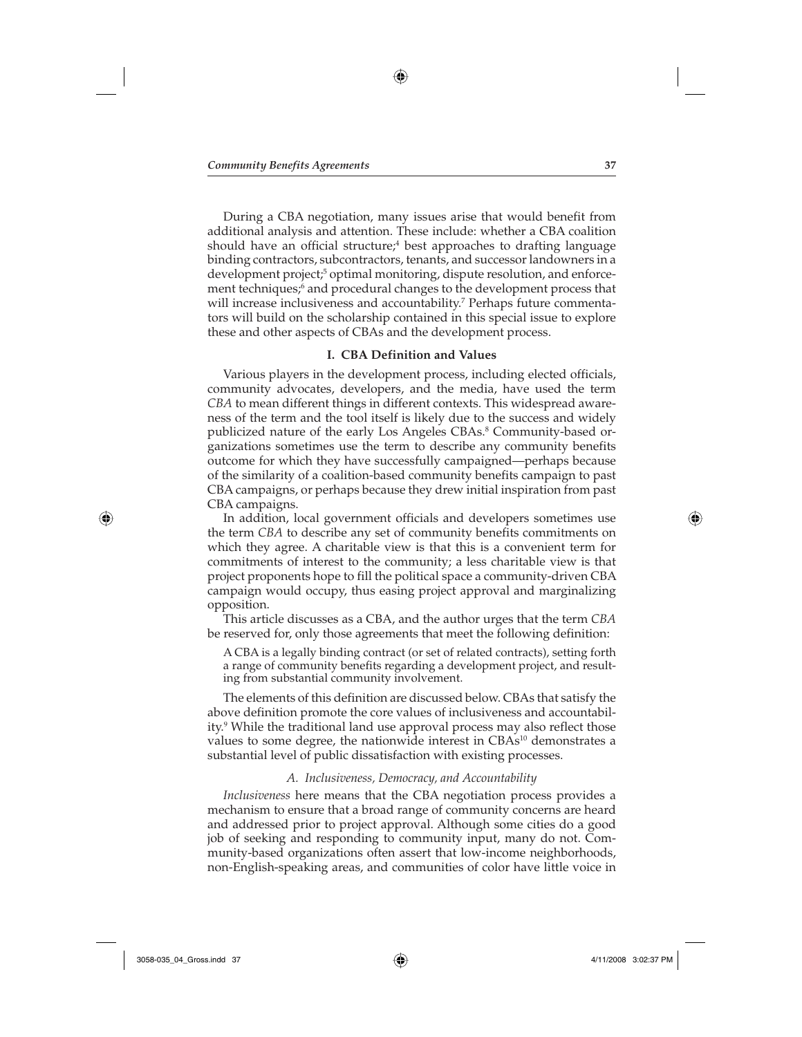During a CBA negotiation, many issues arise that would benefit from additional analysis and attention. These include: whether a CBA coalition should have an official structure;<sup>4</sup> best approaches to drafting language binding contractors, subcontractors, tenants, and successor landowners in a development project;<sup>5</sup> optimal monitoring, dispute resolution, and enforcement techniques;<sup>6</sup> and procedural changes to the development process that will increase inclusiveness and accountability.<sup>7</sup> Perhaps future commentators will build on the scholarship contained in this special issue to explore these and other aspects of CBAs and the development process.

⊕

#### **I. CBA Definition and Values**

Various players in the development process, including elected officials, community advocates, developers, and the media, have used the term *CBA* to mean different things in different contexts. This widespread awareness of the term and the tool itself is likely due to the success and widely publicized nature of the early Los Angeles CBAs.<sup>8</sup> Community-based organizations sometimes use the term to describe any community benefits outcome for which they have successfully campaigned—perhaps because of the similarity of a coalition-based community benefits campaign to past CBA campaigns, or perhaps because they drew initial inspiration from past CBA campaigns.

In addition, local government officials and developers sometimes use the term *CBA* to describe any set of community benefits commitments on which they agree. A charitable view is that this is a convenient term for commitments of interest to the community; a less charitable view is that project proponents hope to fill the political space a community-driven CBA campaign would occupy, thus easing project approval and marginalizing opposition.

This article discusses as a CBA, and the author urges that the term *CBA* be reserved for, only those agreements that meet the following definition:

A CBA is a legally binding contract (or set of related contracts), setting forth a range of community benefits regarding a development project, and resulting from substantial community involvement.

The elements of this definition are discussed below. CBAs that satisfy the above definition promote the core values of inclusiveness and accountability.<sup>9</sup> While the traditional land use approval process may also reflect those values to some degree, the nationwide interest in  $CBAs<sup>10</sup>$  demonstrates a substantial level of public dissatisfaction with existing processes.

#### *A. Inclusiveness, Democracy, and Accountability*

*Inclusiveness* here means that the CBA negotiation process provides a mechanism to ensure that a broad range of community concerns are heard and addressed prior to project approval. Although some cities do a good job of seeking and responding to community input, many do not. Community-based organizations often assert that low-income neighborhoods, non-English-speaking areas, and communities of color have little voice in ⊕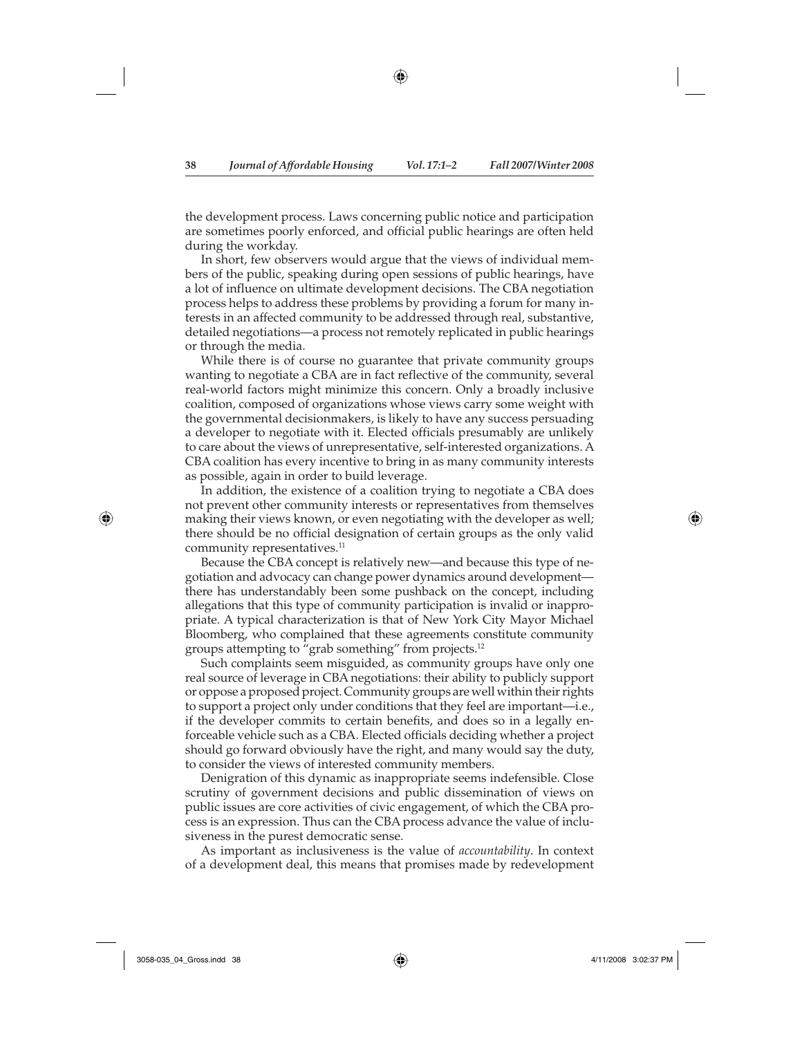↔

the development process. Laws concerning public notice and participation are sometimes poorly enforced, and official public hearings are often held during the workday.

In short, few observers would argue that the views of individual members of the public, speaking during open sessions of public hearings, have a lot of influence on ultimate development decisions. The CBA negotiation process helps to address these problems by providing a forum for many interests in an affected community to be addressed through real, substantive, detailed negotiations—a process not remotely replicated in public hearings or through the media.

While there is of course no guarantee that private community groups wanting to negotiate a CBA are in fact reflective of the community, several real-world factors might minimize this concern. Only a broadly inclusive coalition, composed of organizations whose views carry some weight with the governmental decisionmakers, is likely to have any success persuading a developer to negotiate with it. Elected officials presumably are unlikely to care about the views of unrepresentative, self-interested organizations. A CBA coalition has every incentive to bring in as many community interests as possible, again in order to build leverage.

In addition, the existence of a coalition trying to negotiate a CBA does not prevent other community interests or representatives from themselves making their views known, or even negotiating with the developer as well; there should be no official designation of certain groups as the only valid community representatives.<sup>11</sup>

Because the CBA concept is relatively new—and because this type of negotiation and advocacy can change power dynamics around development there has understandably been some pushback on the concept, including allegations that this type of community participation is invalid or inappropriate. A typical characterization is that of New York City Mayor Michael Bloomberg, who complained that these agreements constitute community groups attempting to "grab something" from projects. 12

Such complaints seem misguided, as community groups have only one real source of leverage in CBA negotiations: their ability to publicly support or oppose a proposed project. Community groups are well within their rights to support a project only under conditions that they feel are important—i.e., if the developer commits to certain benefits, and does so in a legally enforceable vehicle such as a CBA. Elected officials deciding whether a project should go forward obviously have the right, and many would say the duty, to consider the views of interested community members.

Denigration of this dynamic as inappropriate seems indefensible. Close scrutiny of government decisions and public dissemination of views on public issues are core activities of civic engagement, of which the CBA process is an expression. Thus can the CBA process advance the value of inclusiveness in the purest democratic sense.

As important as inclusiveness is the value of *accountability*. In context of a development deal, this means that promises made by redevelopment

 $\bigoplus$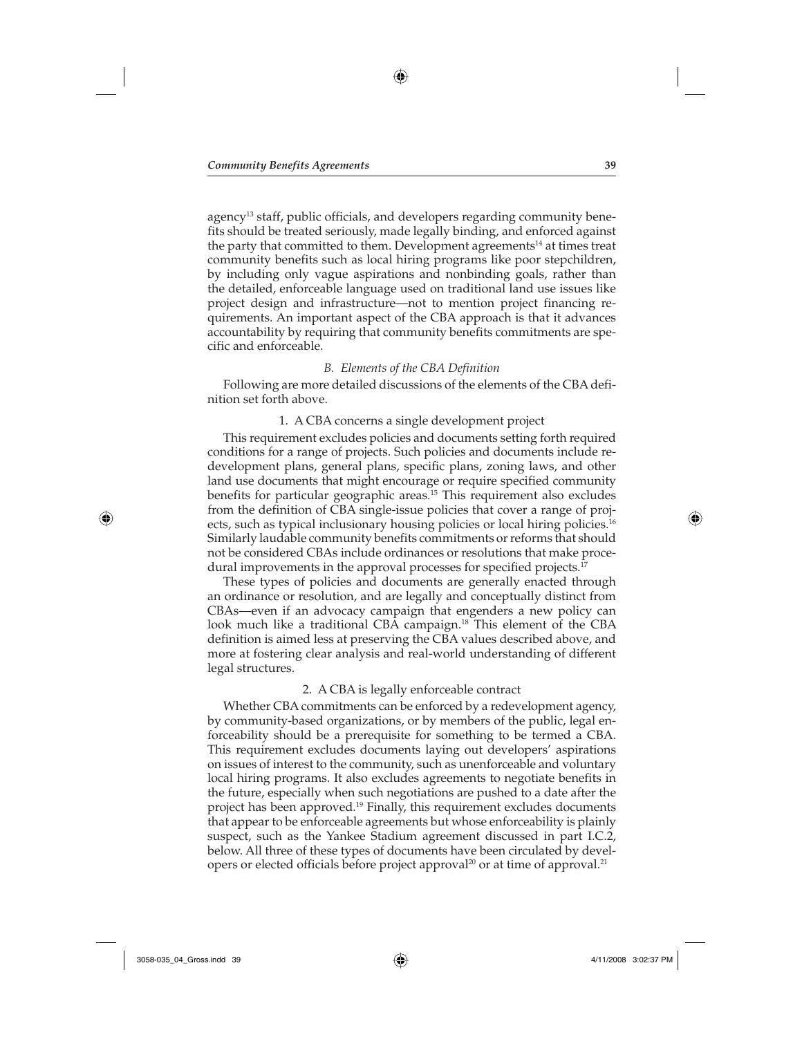agency<sup>13</sup> staff, public officials, and developers regarding community benefits should be treated seriously, made legally binding, and enforced against the party that committed to them. Development agreements<sup>14</sup> at times treat community benefits such as local hiring programs like poor stepchildren, by including only vague aspirations and nonbinding goals, rather than the detailed, enforceable language used on traditional land use issues like project design and infrastructure—not to mention project financing requirements. An important aspect of the CBA approach is that it advances accountability by requiring that community benefits commitments are specific and enforceable.

⊕

#### *B. Elements of the CBA Definition*

Following are more detailed discussions of the elements of the CBA definition set forth above.

#### 1. A CBA concerns a single development project

This requirement excludes policies and documents setting forth required conditions for a range of projects. Such policies and documents include redevelopment plans, general plans, specific plans, zoning laws, and other land use documents that might encourage or require specified community benefits for particular geographic areas.<sup>15</sup> This requirement also excludes from the definition of CBA single-issue policies that cover a range of projects, such as typical inclusionary housing policies or local hiring policies.<sup>16</sup> Similarly laudable community benefits commitments or reforms that should not be considered CBAs include ordinances or resolutions that make procedural improvements in the approval processes for specified projects.<sup>17</sup>

These types of policies and documents are generally enacted through an ordinance or resolution, and are legally and conceptually distinct from CBAs—even if an advocacy campaign that engenders a new policy can look much like a traditional CBA campaign.<sup>18</sup> This element of the CBA definition is aimed less at preserving the CBA values described above, and more at fostering clear analysis and real-world understanding of different legal structures.

#### 2. A CBA is legally enforceable contract

Whether CBA commitments can be enforced by a redevelopment agency, by community-based organizations, or by members of the public, legal enforceability should be a prerequisite for something to be termed a CBA. This requirement excludes documents laying out developers' aspirations on issues of interest to the community, such as unenforceable and voluntary local hiring programs. It also excludes agreements to negotiate benefits in the future, especially when such negotiations are pushed to a date after the project has been approved.<sup>19</sup> Finally, this requirement excludes documents that appear to be enforceable agreements but whose enforceability is plainly suspect, such as the Yankee Stadium agreement discussed in part I.C.2, below. All three of these types of documents have been circulated by developers or elected officials before project approval<sup>20</sup> or at time of approval.<sup>21</sup>

 $\bigoplus$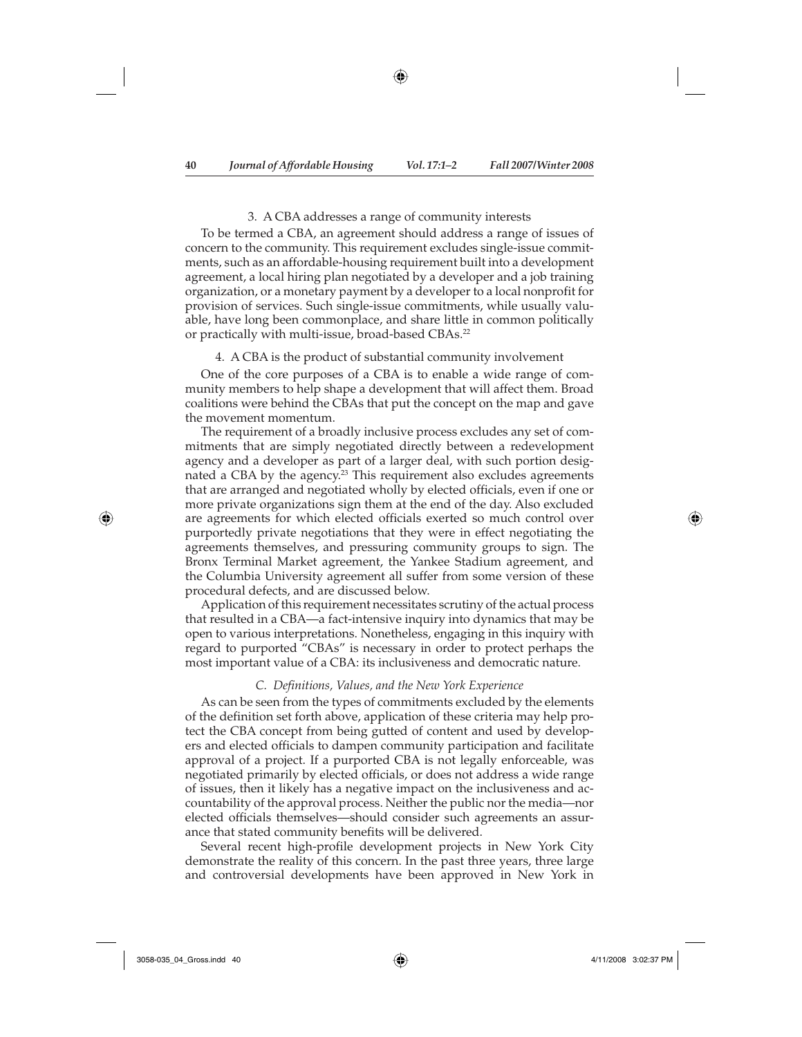## 3. A CBA addresses a range of community interests

To be termed a CBA, an agreement should address a range of issues of concern to the community. This requirement excludes single-issue commitments, such as an affordable-housing requirement built into a development agreement, a local hiring plan negotiated by a developer and a job training organization, or a monetary payment by a developer to a local nonprofit for provision of services. Such single-issue commitments, while usually valuable, have long been commonplace, and share little in common politically or practically with multi-issue, broad-based CBAs.<sup>22</sup>

4. A CBA is the product of substantial community involvement

One of the core purposes of a CBA is to enable a wide range of community members to help shape a development that will affect them. Broad coalitions were behind the CBAs that put the concept on the map and gave the movement momentum.

The requirement of a broadly inclusive process excludes any set of commitments that are simply negotiated directly between a redevelopment agency and a developer as part of a larger deal, with such portion designated a CBA by the agency.<sup>23</sup> This requirement also excludes agreements that are arranged and negotiated wholly by elected officials, even if one or more private organizations sign them at the end of the day. Also excluded are agreements for which elected officials exerted so much control over purportedly private negotiations that they were in effect negotiating the agreements themselves, and pressuring community groups to sign. The Bronx Terminal Market agreement, the Yankee Stadium agreement, and the Columbia University agreement all suffer from some version of these procedural defects, and are discussed below.

Application of this requirement necessitates scrutiny of the actual process that resulted in a CBA—a fact-intensive inquiry into dynamics that may be open to various interpretations. Nonetheless, engaging in this inquiry with regard to purported "CBAs" is necessary in order to protect perhaps the most important value of a CBA: its inclusiveness and democratic nature.

#### *C. Definitions, Values, and the New York Experience*

As can be seen from the types of commitments excluded by the elements of the definition set forth above, application of these criteria may help protect the CBA concept from being gutted of content and used by developers and elected officials to dampen community participation and facilitate approval of a project. If a purported CBA is not legally enforceable, was negotiated primarily by elected officials, or does not address a wide range of issues, then it likely has a negative impact on the inclusiveness and accountability of the approval process. Neither the public nor the media—nor elected officials themselves—should consider such agreements an assurance that stated community benefits will be delivered.

Several recent high-profile development projects in New York City demonstrate the reality of this concern. In the past three years, three large and controversial developments have been approved in New York in

⊕

↔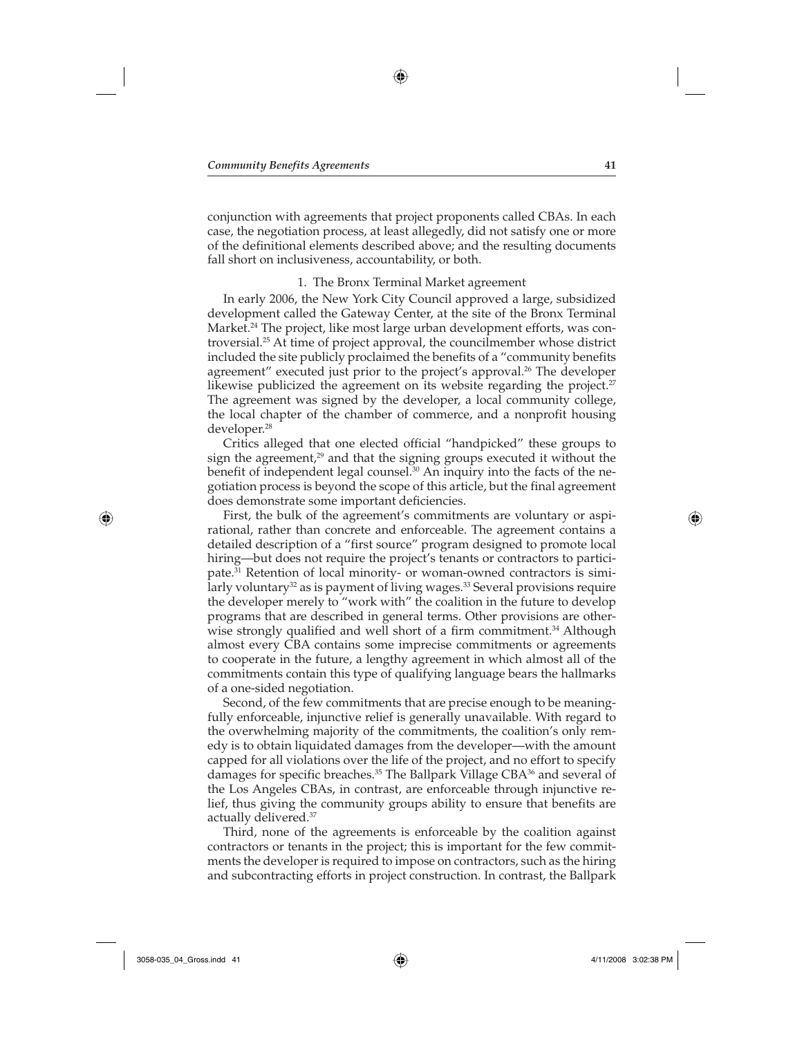conjunction with agreements that project proponents called CBAs. In each case, the negotiation process, at least allegedly, did not satisfy one or more of the definitional elements described above; and the resulting documents fall short on inclusiveness, accountability, or both.

⊕

### 1. The Bronx Terminal Market agreement

In early 2006, the New York City Council approved a large, subsidized development called the Gateway Center, at the site of the Bronx Terminal Market.<sup>24</sup> The project, like most large urban development efforts, was controversial.<sup>25</sup> At time of project approval, the councilmember whose district included the site publicly proclaimed the benefits of a "community benefits agreement" executed just prior to the project's approval.<sup>26</sup> The developer likewise publicized the agreement on its website regarding the project.<sup>27</sup> The agreement was signed by the developer, a local community college, the local chapter of the chamber of commerce, and a nonprofit housing developer.<sup>28</sup>

Critics alleged that one elected official "handpicked" these groups to sign the agreement, $29$  and that the signing groups executed it without the benefit of independent legal counsel.<sup>30</sup> An inquiry into the facts of the negotiation process is beyond the scope of this article, but the final agreement does demonstrate some important deficiencies.

First, the bulk of the agreement's commitments are voluntary or aspirational, rather than concrete and enforceable. The agreement contains a detailed description of a "first source" program designed to promote local hiring—but does not require the project's tenants or contractors to participate.31 Retention of local minority- or woman-owned contractors is similarly voluntary<sup>32</sup> as is payment of living wages.<sup>33</sup> Several provisions require the developer merely to "work with" the coalition in the future to develop programs that are described in general terms. Other provisions are otherwise strongly qualified and well short of a firm commitment.<sup>34</sup> Although almost every CBA contains some imprecise commitments or agreements to cooperate in the future, a lengthy agreement in which almost all of the commitments contain this type of qualifying language bears the hallmarks of a one-sided negotiation.

Second, of the few commitments that are precise enough to be meaningfully enforceable, injunctive relief is generally unavailable. With regard to the overwhelming majority of the commitments, the coalition's only remedy is to obtain liquidated damages from the developer—with the amount capped for all violations over the life of the project, and no effort to specify damages for specific breaches.<sup>35</sup> The Ballpark Village CBA<sup>36</sup> and several of the Los Angeles CBAs, in contrast, are enforceable through injunctive relief, thus giving the community groups ability to ensure that benefits are actually delivered.<sup>37</sup>

Third, none of the agreements is enforceable by the coalition against contractors or tenants in the project; this is important for the few commitments the developer is required to impose on contractors, such as the hiring and subcontracting efforts in project construction. In contrast, the Ballpark

 $\bigoplus$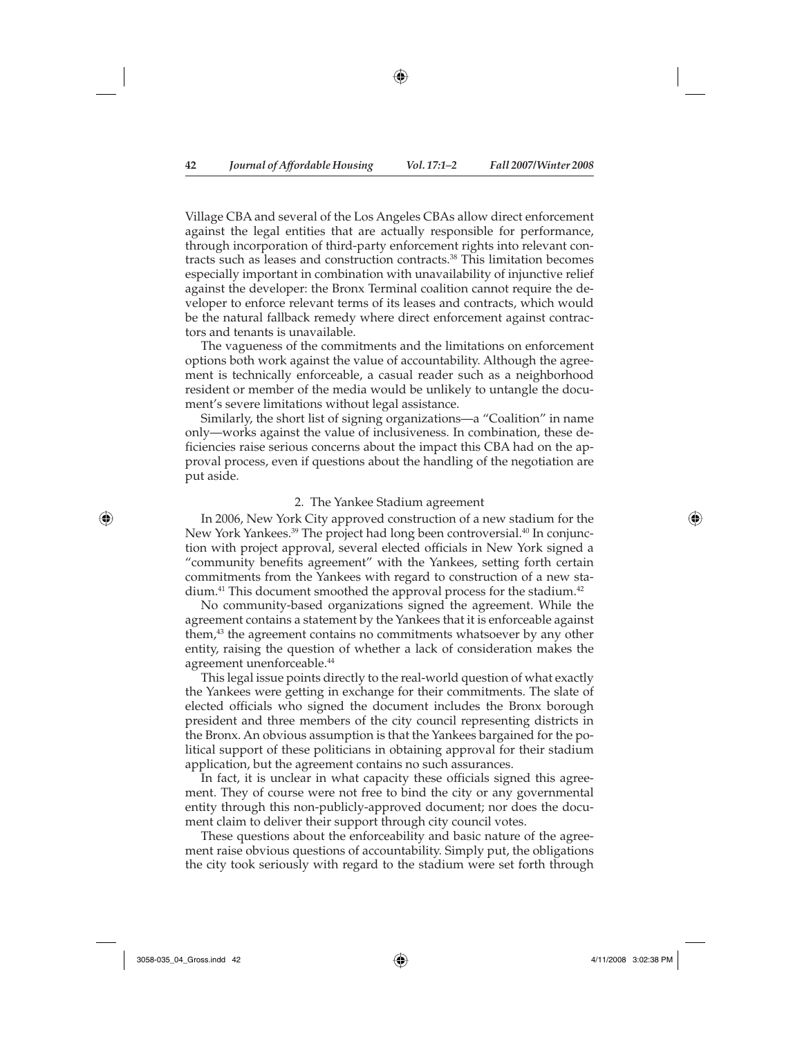Village CBA and several of the Los Angeles CBAs allow direct enforcement against the legal entities that are actually responsible for performance, through incorporation of third-party enforcement rights into relevant contracts such as leases and construction contracts.<sup>38</sup> This limitation becomes especially important in combination with unavailability of injunctive relief against the developer: the Bronx Terminal coalition cannot require the developer to enforce relevant terms of its leases and contracts, which would be the natural fallback remedy where direct enforcement against contractors and tenants is unavailable.

The vagueness of the commitments and the limitations on enforcement options both work against the value of accountability. Although the agreement is technically enforceable, a casual reader such as a neighborhood resident or member of the media would be unlikely to untangle the document's severe limitations without legal assistance.

Similarly, the short list of signing organizations—a "Coalition" in name only—works against the value of inclusiveness. In combination, these deficiencies raise serious concerns about the impact this CBA had on the approval process, even if questions about the handling of the negotiation are put aside.

#### 2. The Yankee Stadium agreement

In 2006, New York City approved construction of a new stadium for the New York Yankees.<sup>39</sup> The project had long been controversial.<sup>40</sup> In conjunction with project approval, several elected officials in New York signed a "community benefits agreement" with the Yankees, setting forth certain commitments from the Yankees with regard to construction of a new stadium.<sup>41</sup> This document smoothed the approval process for the stadium.<sup>42</sup>

No community-based organizations signed the agreement. While the agreement contains a statement by the Yankees that it is enforceable against them,<sup>43</sup> the agreement contains no commitments whatsoever by any other entity, raising the question of whether a lack of consideration makes the agreement unenforceable.<sup>44</sup>

This legal issue points directly to the real-world question of what exactly the Yankees were getting in exchange for their commitments. The slate of elected officials who signed the document includes the Bronx borough president and three members of the city council representing districts in the Bronx. An obvious assumption is that the Yankees bargained for the political support of these politicians in obtaining approval for their stadium application, but the agreement contains no such assurances.

In fact, it is unclear in what capacity these officials signed this agreement. They of course were not free to bind the city or any governmental entity through this non-publicly-approved document; nor does the document claim to deliver their support through city council votes.

These questions about the enforceability and basic nature of the agreement raise obvious questions of accountability. Simply put, the obligations the city took seriously with regard to the stadium were set forth through

 $\bigoplus$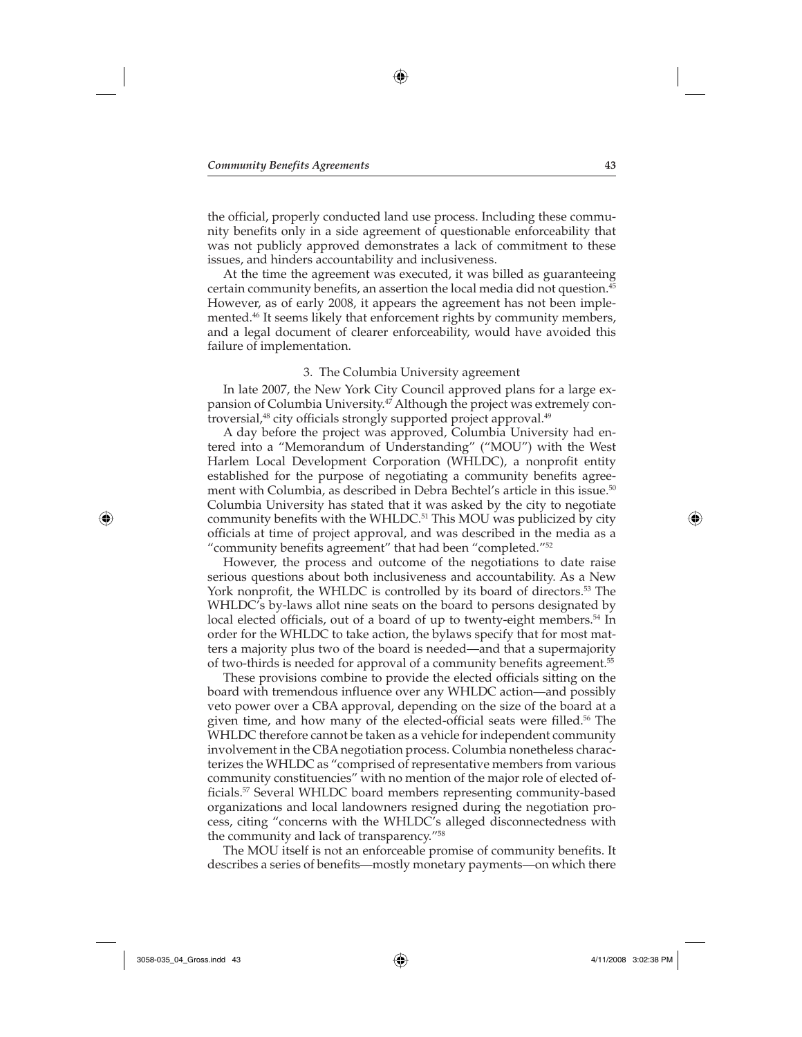the official, properly conducted land use process. Including these community benefits only in a side agreement of questionable enforceability that was not publicly approved demonstrates a lack of commitment to these issues, and hinders accountability and inclusiveness.

⊕

At the time the agreement was executed, it was billed as guaranteeing certain community benefits, an assertion the local media did not question.<sup>45</sup> However, as of early 2008, it appears the agreement has not been implemented.<sup>46</sup> It seems likely that enforcement rights by community members, and a legal document of clearer enforceability, would have avoided this failure of implementation.

#### 3. The Columbia University agreement

In late 2007, the New York City Council approved plans for a large expansion of Columbia University.<sup>47</sup> Although the project was extremely controversial,<sup>48</sup> city officials strongly supported project approval.<sup>49</sup>

A day before the project was approved, Columbia University had entered into a "Memorandum of Understanding" ("MOU") with the West Harlem Local Development Corporation (WHLDC), a nonprofit entity established for the purpose of negotiating a community benefits agreement with Columbia, as described in Debra Bechtel's article in this issue.<sup>50</sup> Columbia University has stated that it was asked by the city to negotiate community benefits with the WHLDC.<sup>51</sup> This MOU was publicized by city officials at time of project approval, and was described in the media as a "community benefits agreement" that had been "completed."<sup>52</sup>

However, the process and outcome of the negotiations to date raise serious questions about both inclusiveness and accountability. As a New York nonprofit, the WHLDC is controlled by its board of directors.<sup>53</sup> The WHLDC's by-laws allot nine seats on the board to persons designated by local elected officials, out of a board of up to twenty-eight members.<sup>54</sup> In order for the WHLDC to take action, the bylaws specify that for most matters a majority plus two of the board is needed—and that a supermajority of two-thirds is needed for approval of a community benefits agreement.<sup>55</sup>

These provisions combine to provide the elected officials sitting on the board with tremendous influence over any WHLDC action—and possibly veto power over a CBA approval, depending on the size of the board at a given time, and how many of the elected-official seats were filled.<sup>56</sup> The WHLDC therefore cannot be taken as a vehicle for independent community involvement in the CBA negotiation process. Columbia nonetheless characterizes the WHLDC as "comprised of representative members from various community constituencies" with no mention of the major role of elected officials.<sup>57</sup> Several WHLDC board members representing community-based organizations and local landowners resigned during the negotiation process, citing "concerns with the WHLDC's alleged disconnectedness with the community and lack of transparency."<sup>58</sup>

The MOU itself is not an enforceable promise of community benefits. It describes a series of benefits—mostly monetary payments—on which there

 $\bigoplus$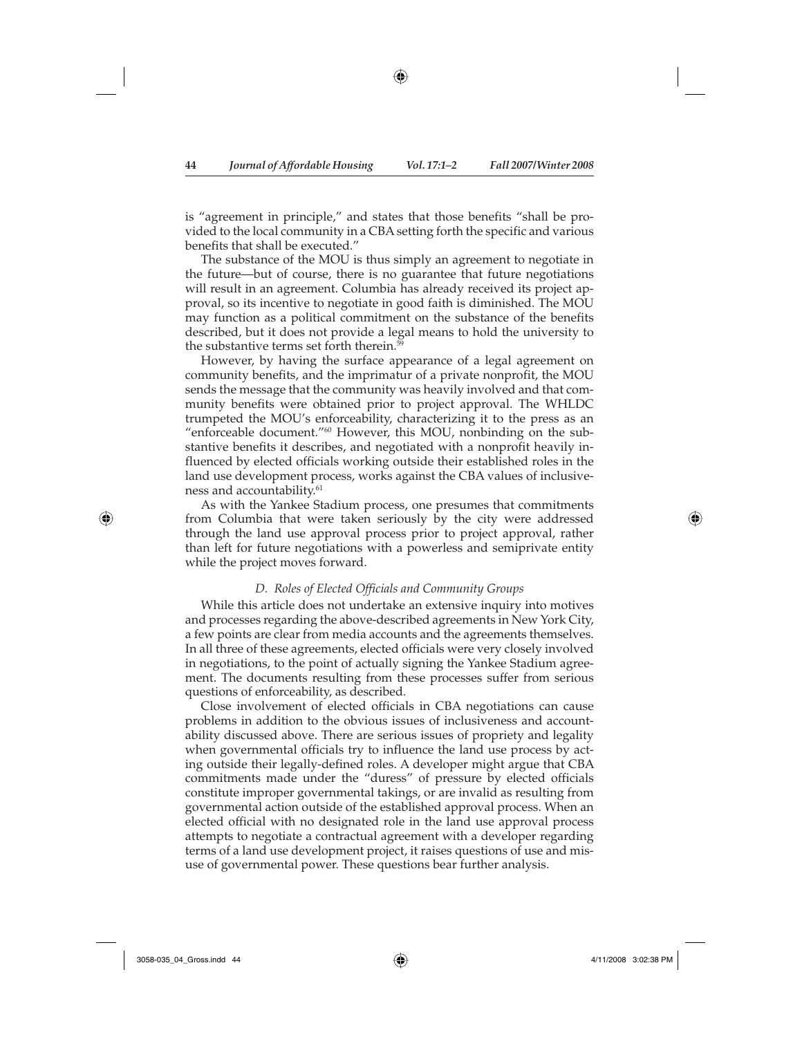is "agreement in principle," and states that those benefits "shall be provided to the local community in a CBA setting forth the specific and various benefits that shall be executed."

The substance of the MOU is thus simply an agreement to negotiate in the future—but of course, there is no guarantee that future negotiations will result in an agreement. Columbia has already received its project approval, so its incentive to negotiate in good faith is diminished. The MOU may function as a political commitment on the substance of the benefits described, but it does not provide a legal means to hold the university to the substantive terms set forth therein.<sup>59</sup>

However, by having the surface appearance of a legal agreement on community benefits, and the imprimatur of a private nonprofit, the MOU sends the message that the community was heavily involved and that community benefits were obtained prior to project approval. The WHLDC trumpeted the MOU's enforceability, characterizing it to the press as an "enforceable document."<sup>60</sup> However, this MOU, nonbinding on the substantive benefits it describes, and negotiated with a nonprofit heavily influenced by elected officials working outside their established roles in the land use development process, works against the CBA values of inclusiveness and accountability.<sup>61</sup>

As with the Yankee Stadium process, one presumes that commitments from Columbia that were taken seriously by the city were addressed through the land use approval process prior to project approval, rather than left for future negotiations with a powerless and semiprivate entity while the project moves forward.

# *D. Roles of Elected Officials and Community Groups*

While this article does not undertake an extensive inquiry into motives and processes regarding the above-described agreements in New York City, a few points are clear from media accounts and the agreements themselves. In all three of these agreements, elected officials were very closely involved in negotiations, to the point of actually signing the Yankee Stadium agreement. The documents resulting from these processes suffer from serious questions of enforceability, as described.

Close involvement of elected officials in CBA negotiations can cause problems in addition to the obvious issues of inclusiveness and accountability discussed above. There are serious issues of propriety and legality when governmental officials try to influence the land use process by acting outside their legally-defined roles. A developer might argue that CBA commitments made under the "duress" of pressure by elected officials constitute improper governmental takings, or are invalid as resulting from governmental action outside of the established approval process. When an elected official with no designated role in the land use approval process attempts to negotiate a contractual agreement with a developer regarding terms of a land use development project, it raises questions of use and misuse of governmental power. These questions bear further analysis.

 $\bigoplus$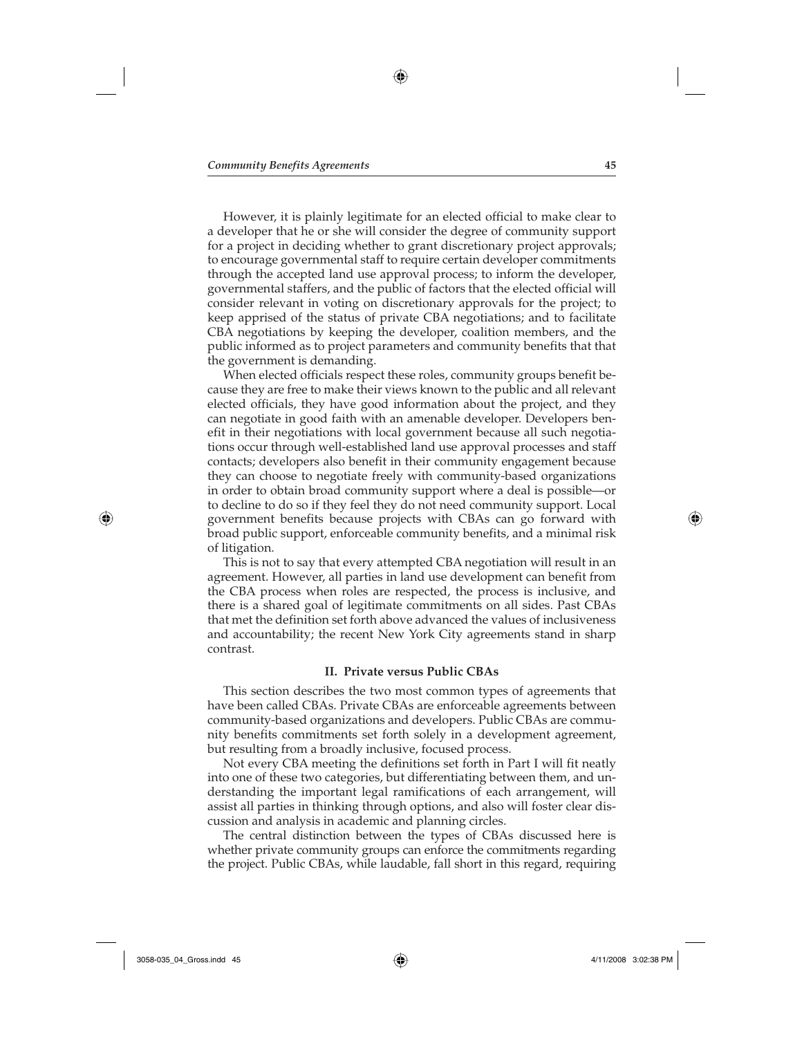However, it is plainly legitimate for an elected official to make clear to a developer that he or she will consider the degree of community support for a project in deciding whether to grant discretionary project approvals; to encourage governmental staff to require certain developer commitments through the accepted land use approval process; to inform the developer, governmental staffers, and the public of factors that the elected official will consider relevant in voting on discretionary approvals for the project; to keep apprised of the status of private CBA negotiations; and to facilitate CBA negotiations by keeping the developer, coalition members, and the public informed as to project parameters and community benefits that that the government is demanding.

⊕

When elected officials respect these roles, community groups benefit because they are free to make their views known to the public and all relevant elected officials, they have good information about the project, and they can negotiate in good faith with an amenable developer. Developers benefit in their negotiations with local government because all such negotiations occur through well-established land use approval processes and staff contacts; developers also benefit in their community engagement because they can choose to negotiate freely with community-based organizations in order to obtain broad community support where a deal is possible—or to decline to do so if they feel they do not need community support. Local government benefits because projects with CBAs can go forward with broad public support, enforceable community benefits, and a minimal risk of litigation.

This is not to say that every attempted CBA negotiation will result in an agreement. However, all parties in land use development can benefit from the CBA process when roles are respected, the process is inclusive, and there is a shared goal of legitimate commitments on all sides. Past CBAs that met the definition set forth above advanced the values of inclusiveness and accountability; the recent New York City agreements stand in sharp contrast.

# **II. Private versus Public CBAs**

This section describes the two most common types of agreements that have been called CBAs. Private CBAs are enforceable agreements between community-based organizations and developers. Public CBAs are community benefits commitments set forth solely in a development agreement, but resulting from a broadly inclusive, focused process.

Not every CBA meeting the definitions set forth in Part I will fit neatly into one of these two categories, but differentiating between them, and understanding the important legal ramifications of each arrangement, will assist all parties in thinking through options, and also will foster clear discussion and analysis in academic and planning circles.

The central distinction between the types of CBAs discussed here is whether private community groups can enforce the commitments regarding the project. Public CBAs, while laudable, fall short in this regard, requiring ⊕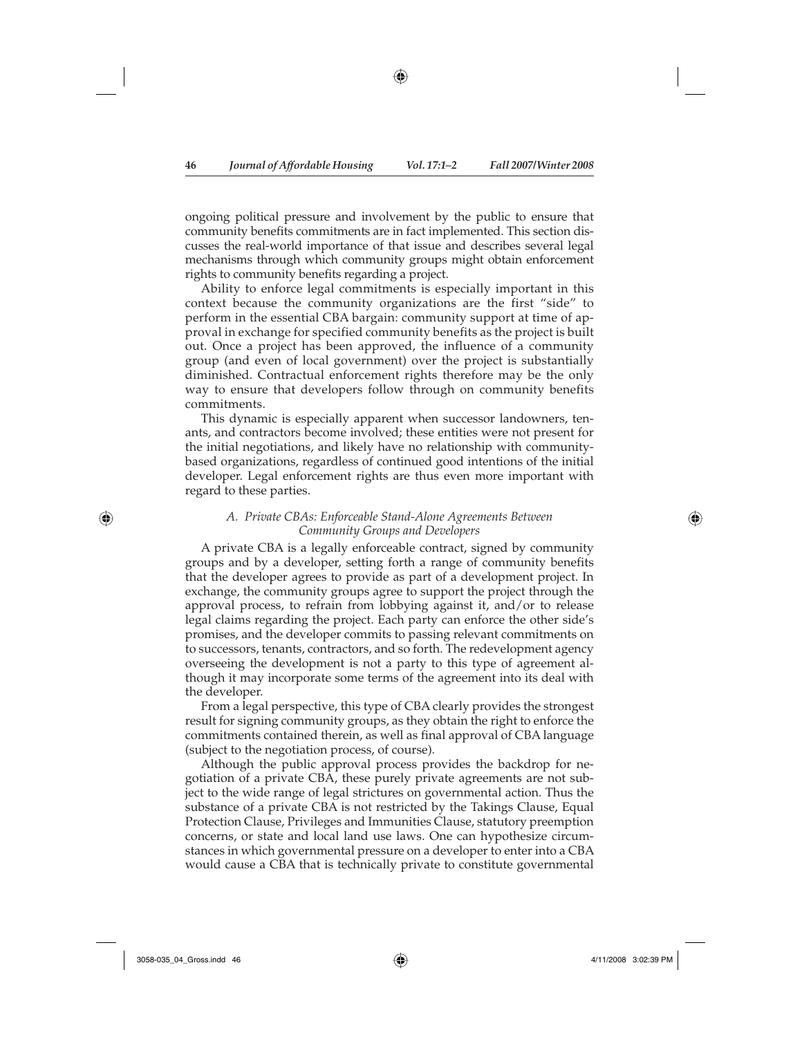ongoing political pressure and involvement by the public to ensure that community benefits commitments are in fact implemented. This section discusses the real-world importance of that issue and describes several legal mechanisms through which community groups might obtain enforcement rights to community benefits regarding a project.

Ability to enforce legal commitments is especially important in this context because the community organizations are the first "side" to perform in the essential CBA bargain: community support at time of approval in exchange for specified community benefits as the project is built out. Once a project has been approved, the influence of a community group (and even of local government) over the project is substantially diminished. Contractual enforcement rights therefore may be the only way to ensure that developers follow through on community benefits commitments.

This dynamic is especially apparent when successor landowners, tenants, and contractors become involved; these entities were not present for the initial negotiations, and likely have no relationship with communitybased organizations, regardless of continued good intentions of the initial developer. Legal enforcement rights are thus even more important with regard to these parties.

# *A. Private CBAs: Enforceable Stand-Alone Agreements Between Community Groups and Developers*

A private CBA is a legally enforceable contract, signed by community groups and by a developer, setting forth a range of community benefits that the developer agrees to provide as part of a development project. In exchange, the community groups agree to support the project through the approval process, to refrain from lobbying against it, and/or to release legal claims regarding the project. Each party can enforce the other side's promises, and the developer commits to passing relevant commitments on to successors, tenants, contractors, and so forth. The redevelopment agency overseeing the development is not a party to this type of agreement although it may incorporate some terms of the agreement into its deal with the developer.

From a legal perspective, this type of CBA clearly provides the strongest result for signing community groups, as they obtain the right to enforce the commitments contained therein, as well as final approval of CBA language (subject to the negotiation process, of course).

Although the public approval process provides the backdrop for negotiation of a private CBA, these purely private agreements are not subject to the wide range of legal strictures on governmental action. Thus the substance of a private CBA is not restricted by the Takings Clause, Equal Protection Clause, Privileges and Immunities Clause, statutory preemption concerns, or state and local land use laws. One can hypothesize circumstances in which governmental pressure on a developer to enter into a CBA would cause a CBA that is technically private to constitute governmental

 $\bigoplus$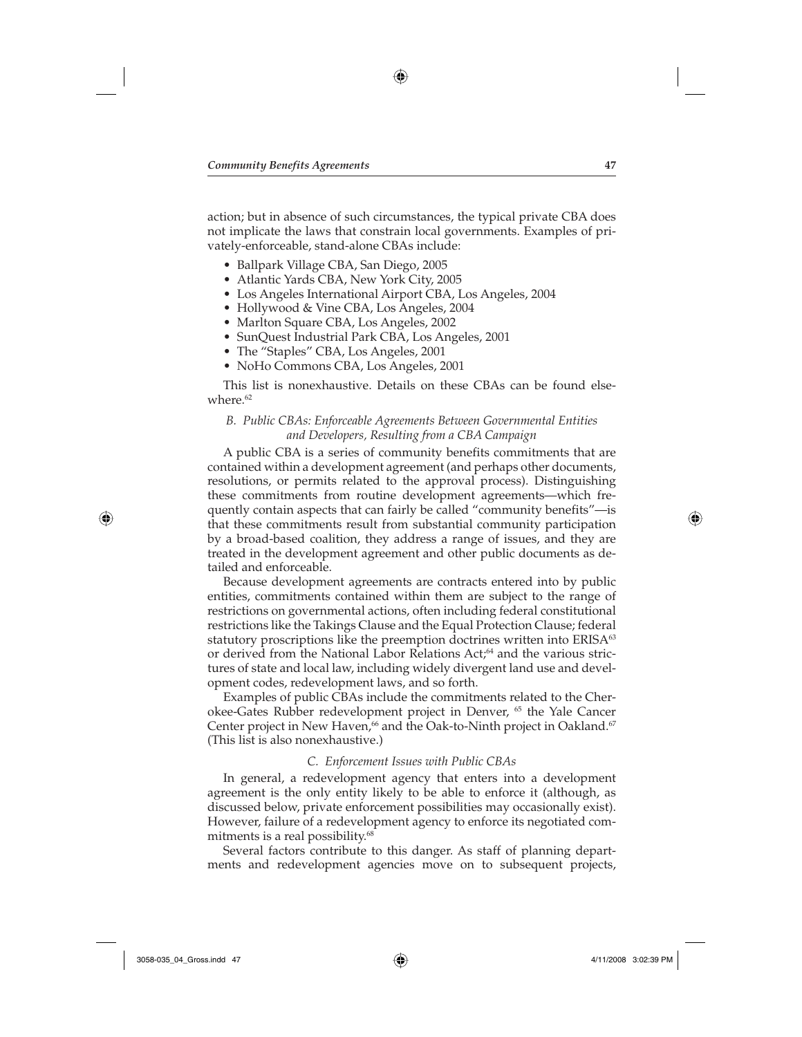action; but in absence of such circumstances, the typical private CBA does not implicate the laws that constrain local governments. Examples of privately-enforceable, stand-alone CBAs include:

⊕

- Ballpark Village CBA, San Diego, 2005
- Atlantic Yards CBA, New York City, 2005
- Los Angeles International Airport CBA, Los Angeles, 2004
- Hollywood & Vine CBA, Los Angeles, 2004
- Marlton Square CBA, Los Angeles, 2002
- SunQuest Industrial Park CBA, Los Angeles, 2001
- The "Staples" CBA, Los Angeles, 2001
- NoHo Commons CBA, Los Angeles, 2001

This list is nonexhaustive. Details on these CBAs can be found elsewhere.<sup>62</sup>

# *B. Public CBAs: Enforceable Agreements Between Governmental Entities and Developers, Resulting from a CBA Campaign*

A public CBA is a series of community benefits commitments that are contained within a development agreement (and perhaps other documents, resolutions, or permits related to the approval process). Distinguishing these commitments from routine development agreements—which frequently contain aspects that can fairly be called "community benefits"—is that these commitments result from substantial community participation by a broad-based coalition, they address a range of issues, and they are treated in the development agreement and other public documents as detailed and enforceable.

Because development agreements are contracts entered into by public entities, commitments contained within them are subject to the range of restrictions on governmental actions, often including federal constitutional restrictions like the Takings Clause and the Equal Protection Clause; federal statutory proscriptions like the preemption doctrines written into ERISA<sup>63</sup> or derived from the National Labor Relations Act;<sup>64</sup> and the various strictures of state and local law, including widely divergent land use and development codes, redevelopment laws, and so forth.

Examples of public CBAs include the commitments related to the Cherokee-Gates Rubber redevelopment project in Denver, <sup>65</sup> the Yale Cancer Center project in New Haven,<sup>66</sup> and the Oak-to-Ninth project in Oakland.<sup>67</sup> (This list is also nonexhaustive.)

#### *C. Enforcement Issues with Public CBAs*

In general, a redevelopment agency that enters into a development agreement is the only entity likely to be able to enforce it (although, as discussed below, private enforcement possibilities may occasionally exist). However, failure of a redevelopment agency to enforce its negotiated commitments is a real possibility.<sup>68</sup>

Several factors contribute to this danger. As staff of planning departments and redevelopment agencies move on to subsequent projects,

 $\bigoplus$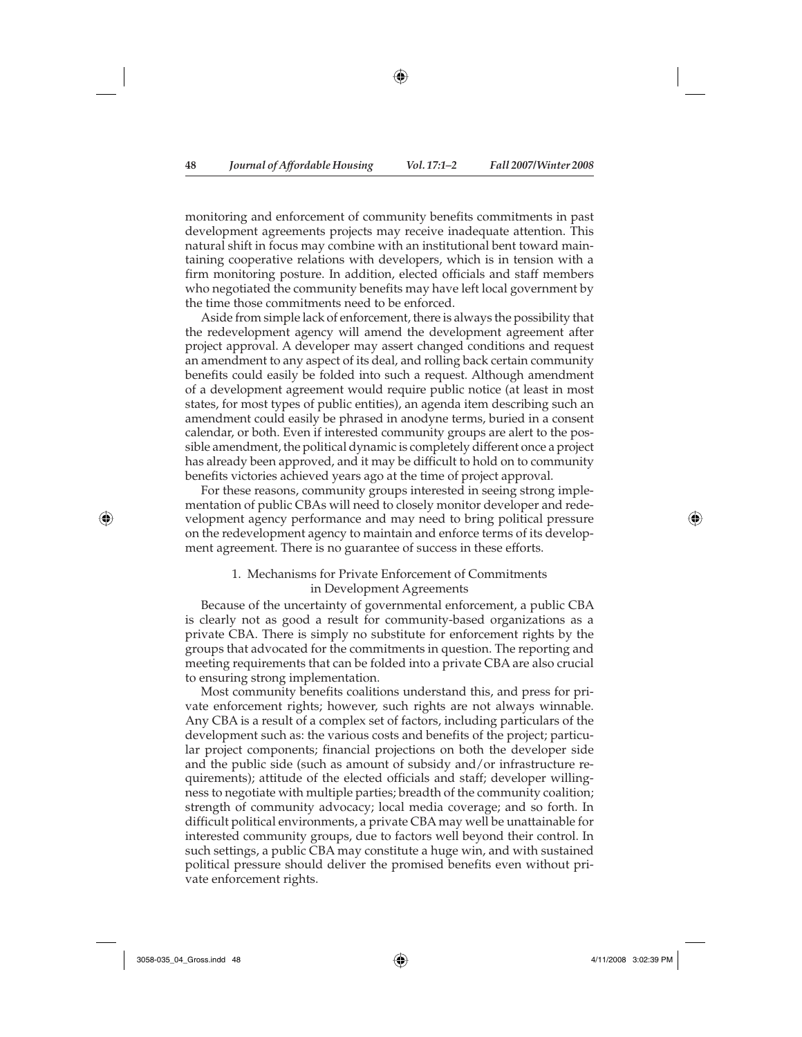↔

monitoring and enforcement of community benefits commitments in past development agreements projects may receive inadequate attention. This natural shift in focus may combine with an institutional bent toward maintaining cooperative relations with developers, which is in tension with a firm monitoring posture. In addition, elected officials and staff members who negotiated the community benefits may have left local government by the time those commitments need to be enforced.

Aside from simple lack of enforcement, there is always the possibility that the redevelopment agency will amend the development agreement after project approval. A developer may assert changed conditions and request an amendment to any aspect of its deal, and rolling back certain community benefits could easily be folded into such a request. Although amendment of a development agreement would require public notice (at least in most states, for most types of public entities), an agenda item describing such an amendment could easily be phrased in anodyne terms, buried in a consent calendar, or both. Even if interested community groups are alert to the possible amendment, the political dynamic is completely different once a project has already been approved, and it may be difficult to hold on to community benefits victories achieved years ago at the time of project approval.

For these reasons, community groups interested in seeing strong implementation of public CBAs will need to closely monitor developer and redevelopment agency performance and may need to bring political pressure on the redevelopment agency to maintain and enforce terms of its development agreement. There is no guarantee of success in these efforts.

# 1. Mechanisms for Private Enforcement of Commitments in Development Agreements

Because of the uncertainty of governmental enforcement, a public CBA is clearly not as good a result for community-based organizations as a private CBA. There is simply no substitute for enforcement rights by the groups that advocated for the commitments in question. The reporting and meeting requirements that can be folded into a private CBA are also crucial to ensuring strong implementation.

Most community benefits coalitions understand this, and press for private enforcement rights; however, such rights are not always winnable. Any CBA is a result of a complex set of factors, including particulars of the development such as: the various costs and benefits of the project; particular project components; financial projections on both the developer side and the public side (such as amount of subsidy and/or infrastructure requirements); attitude of the elected officials and staff; developer willingness to negotiate with multiple parties; breadth of the community coalition; strength of community advocacy; local media coverage; and so forth. In difficult political environments, a private CBA may well be unattainable for interested community groups, due to factors well beyond their control. In such settings, a public CBA may constitute a huge win, and with sustained political pressure should deliver the promised benefits even without private enforcement rights.

 $\bigoplus$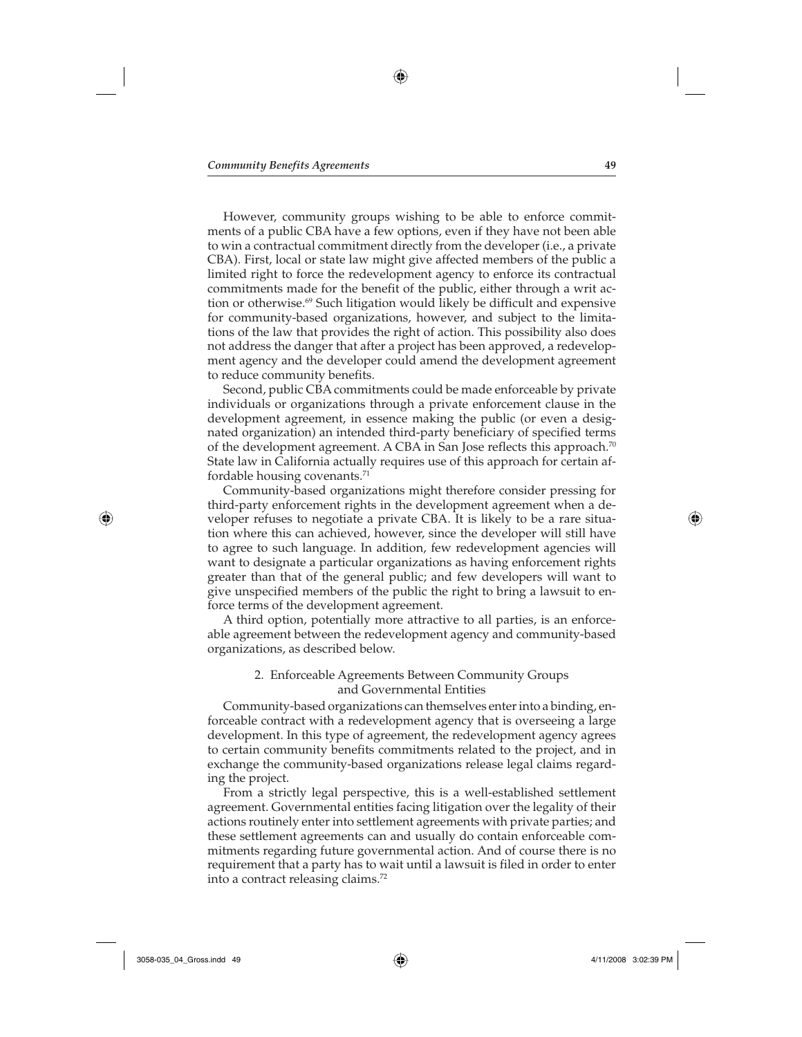However, community groups wishing to be able to enforce commitments of a public CBA have a few options, even if they have not been able to win a contractual commitment directly from the developer (i.e., a private CBA). First, local or state law might give affected members of the public a limited right to force the redevelopment agency to enforce its contractual commitments made for the benefit of the public, either through a writ action or otherwise.<sup>69</sup> Such litigation would likely be difficult and expensive for community-based organizations, however, and subject to the limitations of the law that provides the right of action. This possibility also does not address the danger that after a project has been approved, a redevelopment agency and the developer could amend the development agreement to reduce community benefits.

↔

Second, public CBA commitments could be made enforceable by private individuals or organizations through a private enforcement clause in the development agreement, in essence making the public (or even a designated organization) an intended third-party beneficiary of specified terms of the development agreement. A CBA in San Jose reflects this approach.<sup>70</sup> State law in California actually requires use of this approach for certain affordable housing covenants.<sup>71</sup>

Community-based organizations might therefore consider pressing for third-party enforcement rights in the development agreement when a developer refuses to negotiate a private CBA. It is likely to be a rare situation where this can achieved, however, since the developer will still have to agree to such language. In addition, few redevelopment agencies will want to designate a particular organizations as having enforcement rights greater than that of the general public; and few developers will want to give unspecified members of the public the right to bring a lawsuit to enforce terms of the development agreement.

A third option, potentially more attractive to all parties, is an enforceable agreement between the redevelopment agency and community-based organizations, as described below.

# 2. Enforceable Agreements Between Community Groups and Governmental Entities

Community-based organizations can themselves enter into a binding, enforceable contract with a redevelopment agency that is overseeing a large development. In this type of agreement, the redevelopment agency agrees to certain community benefits commitments related to the project, and in exchange the community-based organizations release legal claims regarding the project.

From a strictly legal perspective, this is a well-established settlement agreement. Governmental entities facing litigation over the legality of their actions routinely enter into settlement agreements with private parties; and these settlement agreements can and usually do contain enforceable commitments regarding future governmental action. And of course there is no requirement that a party has to wait until a lawsuit is filed in order to enter into a contract releasing claims.<sup>72</sup>

⊕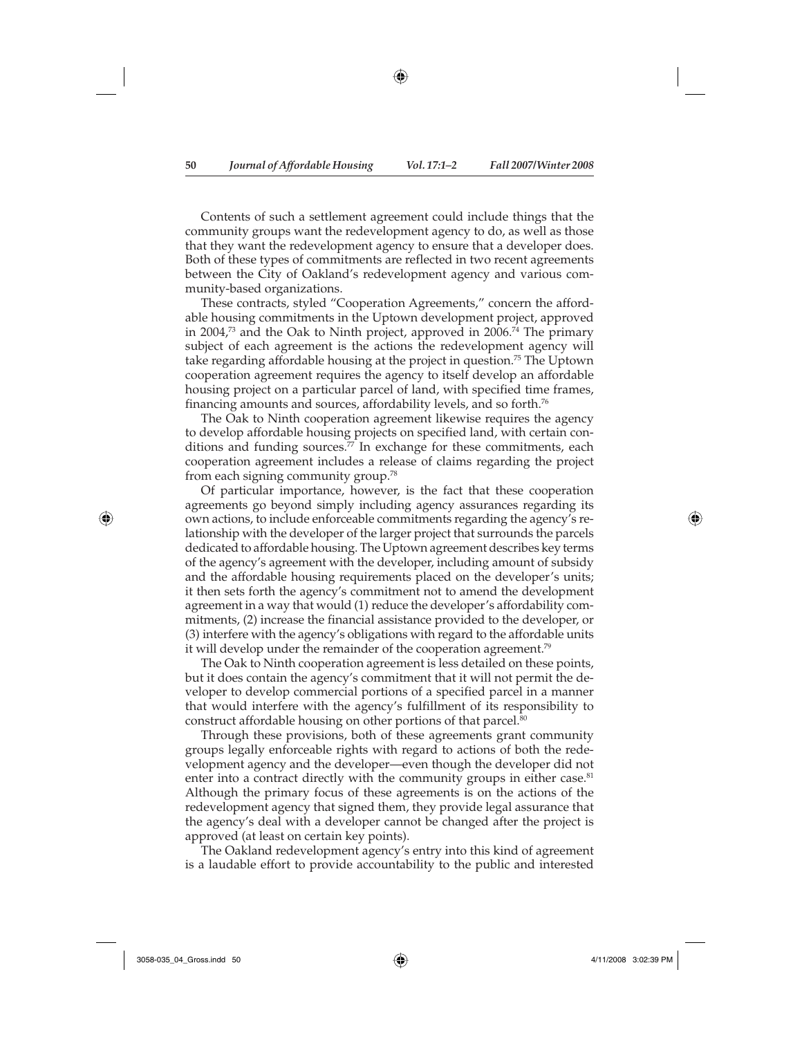↔

Contents of such a settlement agreement could include things that the community groups want the redevelopment agency to do, as well as those that they want the redevelopment agency to ensure that a developer does. Both of these types of commitments are reflected in two recent agreements between the City of Oakland's redevelopment agency and various community-based organizations.

These contracts, styled "Cooperation Agreements," concern the affordable housing commitments in the Uptown development project, approved in 2004,<sup>73</sup> and the Oak to Ninth project, approved in 2006.<sup>74</sup> The primary subject of each agreement is the actions the redevelopment agency will take regarding affordable housing at the project in question.<sup>75</sup> The Uptown cooperation agreement requires the agency to itself develop an affordable housing project on a particular parcel of land, with specified time frames, financing amounts and sources, affordability levels, and so forth.<sup>76</sup>

The Oak to Ninth cooperation agreement likewise requires the agency to develop affordable housing projects on specified land, with certain conditions and funding sources.<sup>77</sup> In exchange for these commitments, each cooperation agreement includes a release of claims regarding the project from each signing community group.<sup>78</sup>

Of particular importance, however, is the fact that these cooperation agreements go beyond simply including agency assurances regarding its own actions, to include enforceable commitments regarding the agency's relationship with the developer of the larger project that surrounds the parcels dedicated to affordable housing. The Uptown agreement describes key terms of the agency's agreement with the developer, including amount of subsidy and the affordable housing requirements placed on the developer's units; it then sets forth the agency's commitment not to amend the development agreement in a way that would (1) reduce the developer's affordability commitments, (2) increase the financial assistance provided to the developer, or (3) interfere with the agency's obligations with regard to the affordable units it will develop under the remainder of the cooperation agreement.<sup>79</sup>

The Oak to Ninth cooperation agreement is less detailed on these points, but it does contain the agency's commitment that it will not permit the developer to develop commercial portions of a specified parcel in a manner that would interfere with the agency's fulfillment of its responsibility to construct affordable housing on other portions of that parcel.<sup>80</sup>

Through these provisions, both of these agreements grant community groups legally enforceable rights with regard to actions of both the redevelopment agency and the developer—even though the developer did not enter into a contract directly with the community groups in either case.<sup>81</sup> Although the primary focus of these agreements is on the actions of the redevelopment agency that signed them, they provide legal assurance that the agency's deal with a developer cannot be changed after the project is approved (at least on certain key points).

The Oakland redevelopment agency's entry into this kind of agreement is a laudable effort to provide accountability to the public and interested

 $\bigoplus$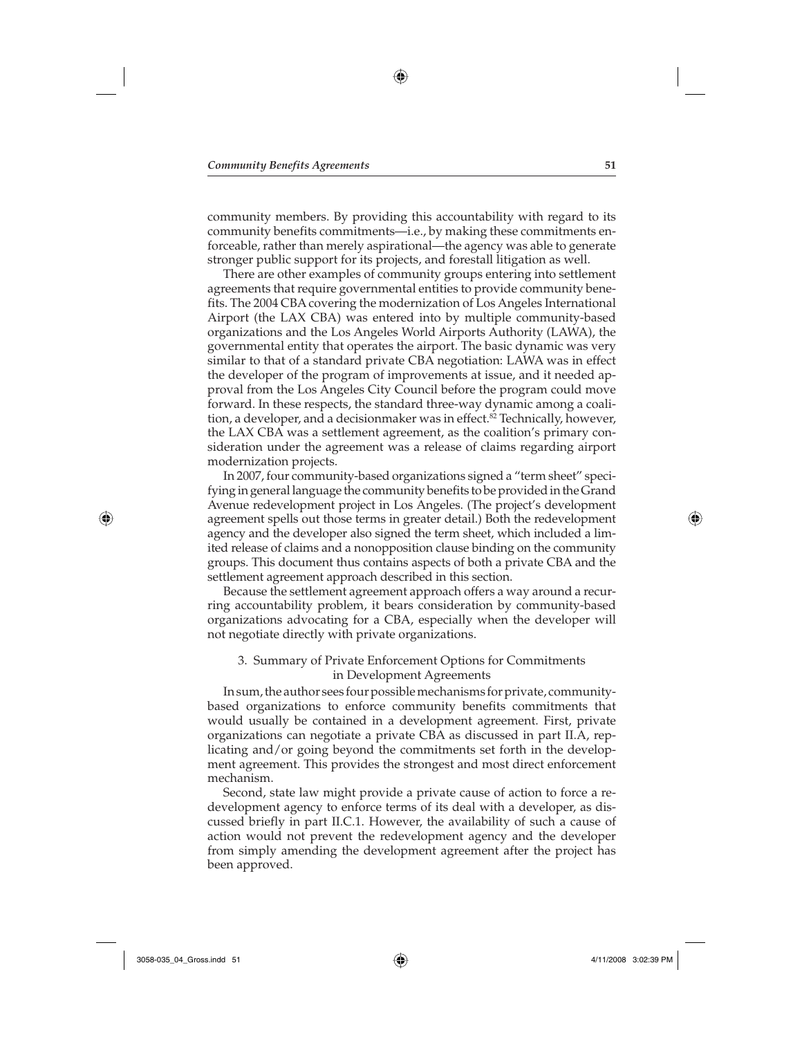community members. By providing this accountability with regard to its community benefits commitments—i.e., by making these commitments enforceable, rather than merely aspirational—the agency was able to generate stronger public support for its projects, and forestall litigation as well.

↔

There are other examples of community groups entering into settlement agreements that require governmental entities to provide community benefits. The 2004 CBA covering the modernization of Los Angeles International Airport (the LAX CBA) was entered into by multiple community-based organizations and the Los Angeles World Airports Authority (LAWA), the governmental entity that operates the airport. The basic dynamic was very similar to that of a standard private CBA negotiation: LAWA was in effect the developer of the program of improvements at issue, and it needed approval from the Los Angeles City Council before the program could move forward. In these respects, the standard three-way dynamic among a coalition, a developer, and a decisionmaker was in effect.<sup>82</sup> Technically, however, the LAX CBA was a settlement agreement, as the coalition's primary consideration under the agreement was a release of claims regarding airport modernization projects.

In 2007, four community-based organizations signed a "term sheet" specifying in general language the community benefits to be provided in the Grand Avenue redevelopment project in Los Angeles. (The project's development agreement spells out those terms in greater detail.) Both the redevelopment agency and the developer also signed the term sheet, which included a limited release of claims and a nonopposition clause binding on the community groups. This document thus contains aspects of both a private CBA and the settlement agreement approach described in this section.

Because the settlement agreement approach offers a way around a recurring accountability problem, it bears consideration by community-based organizations advocating for a CBA, especially when the developer will not negotiate directly with private organizations.

# 3. Summary of Private Enforcement Options for Commitments in Development Agreements

In sum, the author sees four possible mechanisms for private, communitybased organizations to enforce community benefits commitments that would usually be contained in a development agreement. First, private organizations can negotiate a private CBA as discussed in part II.A, replicating and/or going beyond the commitments set forth in the development agreement. This provides the strongest and most direct enforcement mechanism.

Second, state law might provide a private cause of action to force a redevelopment agency to enforce terms of its deal with a developer, as discussed briefly in part II.C.1. However, the availability of such a cause of action would not prevent the redevelopment agency and the developer from simply amending the development agreement after the project has been approved.

⊕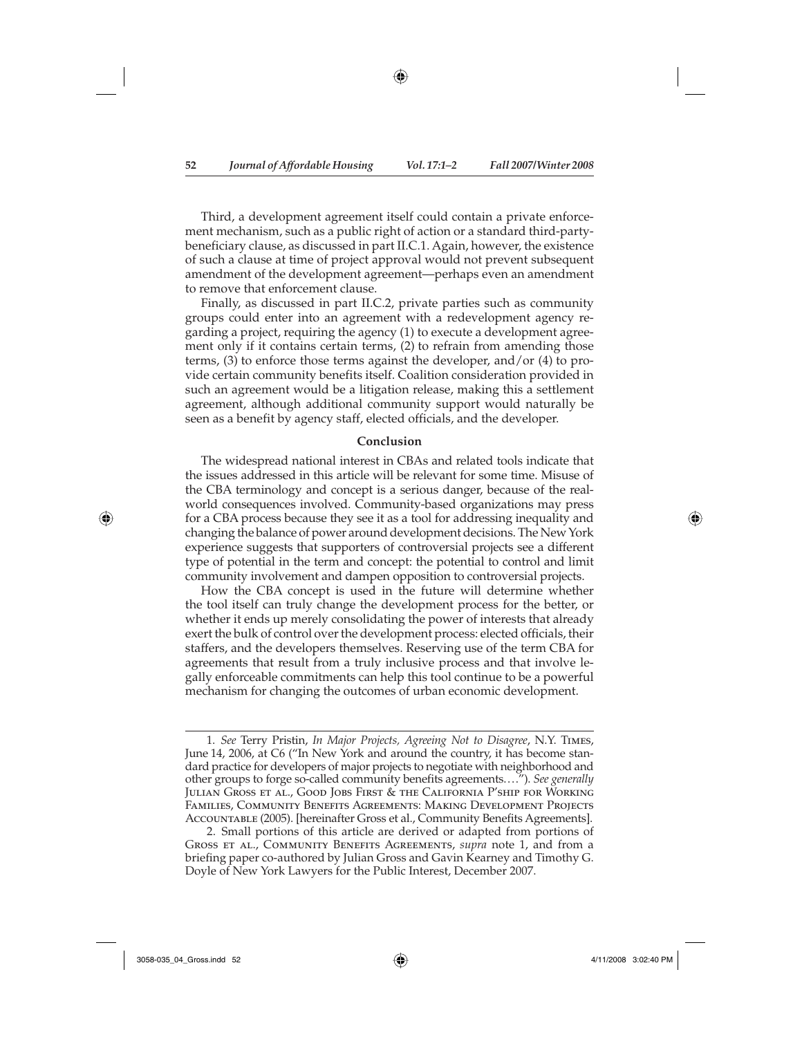Third, a development agreement itself could contain a private enforcement mechanism, such as a public right of action or a standard third-partybeneficiary clause, as discussed in part II.C.1. Again, however, the existence of such a clause at time of project approval would not prevent subsequent amendment of the development agreement—perhaps even an amendment to remove that enforcement clause.

Finally, as discussed in part II.C.2, private parties such as community groups could enter into an agreement with a redevelopment agency regarding a project, requiring the agency (1) to execute a development agreement only if it contains certain terms, (2) to refrain from amending those terms, (3) to enforce those terms against the developer, and/or (4) to provide certain community benefits itself. Coalition consideration provided in such an agreement would be a litigation release, making this a settlement agreement, although additional community support would naturally be seen as a benefit by agency staff, elected officials, and the developer.

#### **Conclusion**

The widespread national interest in CBAs and related tools indicate that the issues addressed in this article will be relevant for some time. Misuse of the CBA terminology and concept is a serious danger, because of the realworld consequences involved. Community-based organizations may press for a CBA process because they see it as a tool for addressing inequality and changing the balance of power around development decisions. The New York experience suggests that supporters of controversial projects see a different type of potential in the term and concept: the potential to control and limit community involvement and dampen opposition to controversial projects.

How the CBA concept is used in the future will determine whether the tool itself can truly change the development process for the better, or whether it ends up merely consolidating the power of interests that already exert the bulk of control over the development process: elected officials, their staffers, and the developers themselves. Reserving use of the term CBA for agreements that result from a truly inclusive process and that involve legally enforceable commitments can help this tool continue to be a powerful mechanism for changing the outcomes of urban economic development.

 $\bigoplus$ 

 <sup>1.</sup> *See* Terry Pristin, *In Major Projects, Agreeing Not to Disagree*, N.Y. Times, June 14, 2006, at C6 ("In New York and around the country, it has become standard practice for developers of major projects to negotiate with neighborhood and other groups to forge so-called community benefits agreements. . . ."). *See generally*  Julian Gross et al., Good Jobs First & the California P'ship for Working Families, Community Benefits Agreements: Making Development Projects Accountable (2005). [hereinafter Gross et al., Community Benefits Agreements].

 <sup>2.</sup> Small portions of this article are derived or adapted from portions of Gross et al., Community Benefits Agreements, *supra* note 1, and from a briefing paper co-authored by Julian Gross and Gavin Kearney and Timothy G. Doyle of New York Lawyers for the Public Interest, December 2007.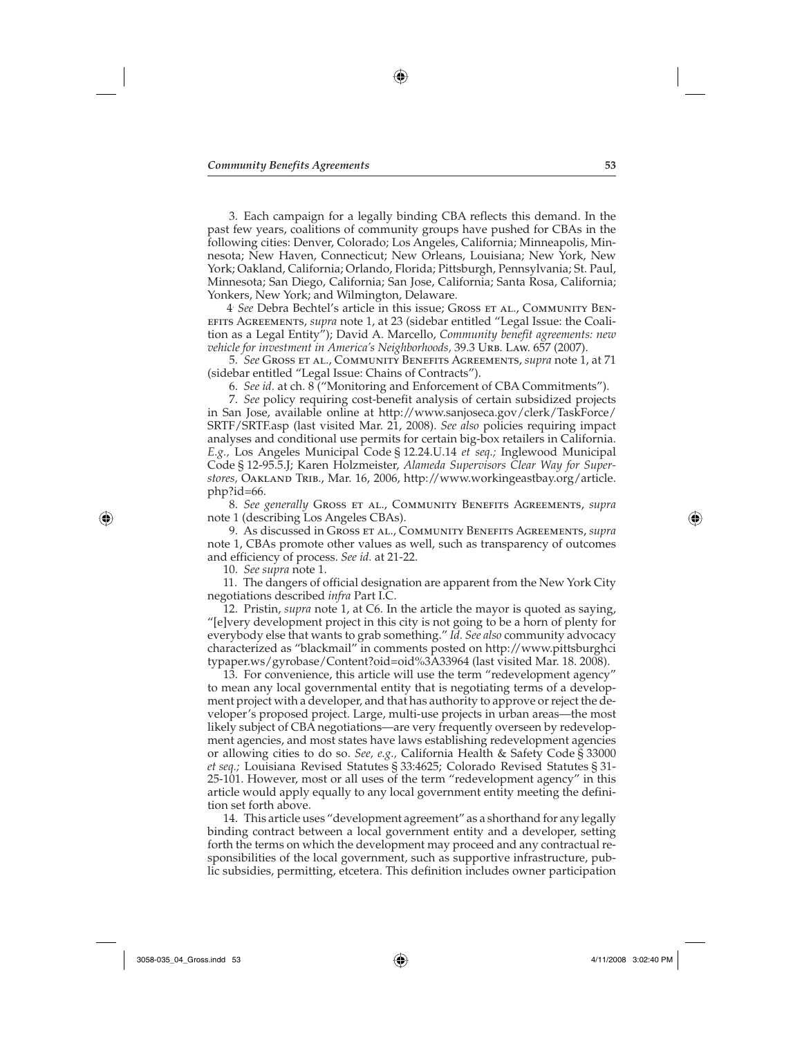3. Each campaign for a legally binding CBA reflects this demand. In the past few years, coalitions of community groups have pushed for CBAs in the following cities: Denver, Colorado; Los Angeles, California; Minneapolis, Minnesota; New Haven, Connecticut; New Orleans, Louisiana; New York, New York; Oakland, California; Orlando, Florida; Pittsburgh, Pennsylvania; St. Paul, Minnesota; San Diego, California; San Jose, California; Santa Rosa, California; Yonkers, New York; and Wilmington, Delaware.

⊕

4 . *See* Debra Bechtel's article in this issue; Gross et al., Community Benefits Agreements, *supra* note 1, at 23 (sidebar entitled "Legal Issue: the Coalition as a Legal Entity"); David A. Marcello, *Community benefit agreements: new vehicle for investment in America's Neighborhoods,* 39.3 Urb. Law. 657 (2007).

 5. *See* Gross et al., Community Benefits Agreements, *supra* note 1, at 71 (sidebar entitled "Legal Issue: Chains of Contracts").

6. *See id.* at ch. 8 ("Monitoring and Enforcement of CBA Commitments").

 7. *See* policy requiring cost-benefit analysis of certain subsidized projects in San Jose, available online at http://www.sanjoseca.gov/clerk/TaskForce/ SRTF/SRTF.asp (last visited Mar. 21, 2008). *See also* policies requiring impact analyses and conditional use permits for certain big-box retailers in California. *E.g.,* Los Angeles Municipal Code § 12.24.U.14 *et seq.;* Inglewood Municipal Code § 12-95.5.J; Karen Holzmeister, *Alameda Supervisors Clear Way for Superstores,* Oakland Trib., Mar. 16, 2006, http://www.workingeastbay.org/article. php?id=66.

 8. *See generally* Gross et al., Community Benefits Agreements, *supra*  note 1 (describing Los Angeles CBAs).

 9. As discussed in Gross et al., Community Benefits Agreements, *supra*  note 1, CBAs promote other values as well, such as transparency of outcomes and efficiency of process. *See id.* at 21-22.

10. *See supra* note 1.

11. The dangers of official designation are apparent from the New York City negotiations described *infra* Part I.C.

12. Pristin, *supra* note 1, at C6. In the article the mayor is quoted as saying, "[e]very development project in this city is not going to be a horn of plenty for everybody else that wants to grab something." *Id. See also* community advocacy characterized as "blackmail" in comments posted on http://www.pittsburghci typaper.ws/gyrobase/Content?oid=oid%3A33964 (last visited Mar. 18. 2008).

13. For convenience, this article will use the term "redevelopment agency" to mean any local governmental entity that is negotiating terms of a development project with a developer, and that has authority to approve or reject the developer's proposed project. Large, multi-use projects in urban areas—the most likely subject of CBA negotiations—are very frequently overseen by redevelopment agencies, and most states have laws establishing redevelopment agencies or allowing cities to do so. *See, e.g.,* California Health & Safety Code § 33000 *et seq.;* Louisiana Revised Statutes § 33:4625; Colorado Revised Statutes § 31- 25-101. However, most or all uses of the term "redevelopment agency" in this article would apply equally to any local government entity meeting the definition set forth above.

14. This article uses "development agreement" as a shorthand for any legally binding contract between a local government entity and a developer, setting forth the terms on which the development may proceed and any contractual responsibilities of the local government, such as supportive infrastructure, public subsidies, permitting, etcetera. This definition includes owner participation

 $\bigoplus$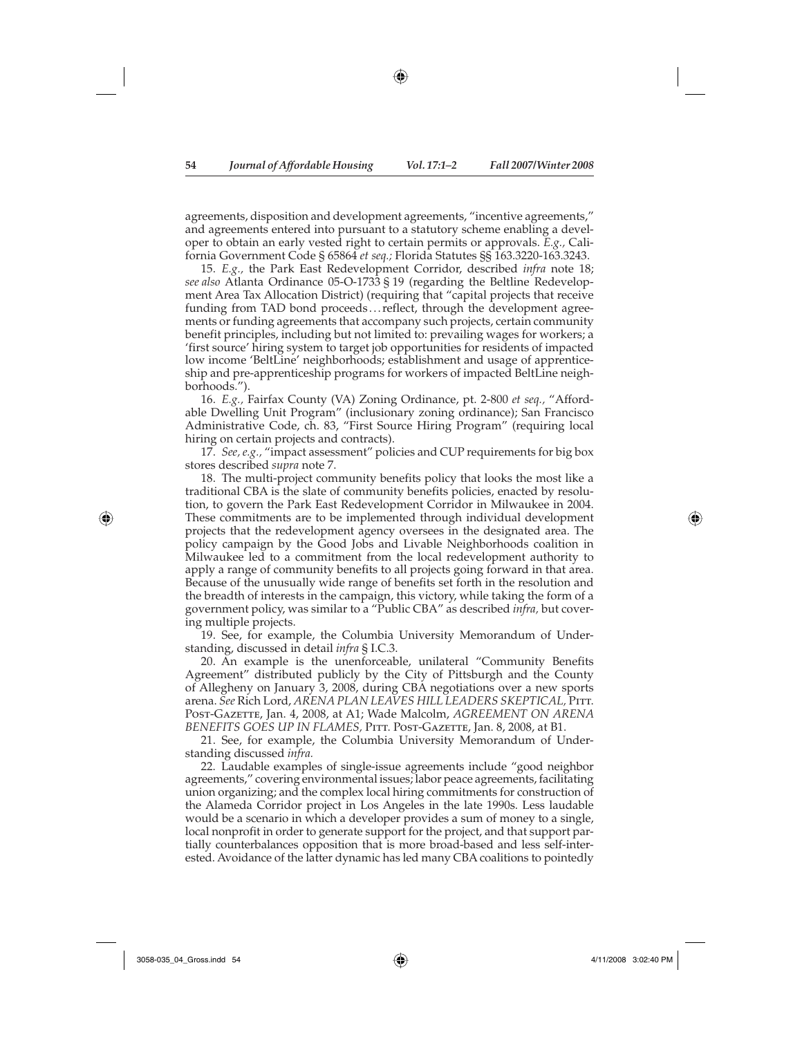agreements, disposition and development agreements, "incentive agreements," and agreements entered into pursuant to a statutory scheme enabling a developer to obtain an early vested right to certain permits or approvals. *E.g.,* California Government Code § 65864 *et seq.;* Florida Statutes §§ 163.3220-163.3243.

15. *E.g.,* the Park East Redevelopment Corridor, described *infra* note 18; *see also* Atlanta Ordinance 05-O-1733 § 19 (regarding the Beltline Redevelopment Area Tax Allocation District) (requiring that "capital projects that receive funding from TAD bond proceeds... reflect, through the development agreements or funding agreements that accompany such projects, certain community benefit principles, including but not limited to: prevailing wages for workers; a 'first source' hiring system to target job opportunities for residents of impacted low income 'BeltLine' neighborhoods; establishment and usage of apprenticeship and pre- apprenticeship programs for workers of impacted BeltLine neighborhoods.").

16. *E.g.,* Fairfax County (VA) Zoning Ordinance, pt. 2-800 *et seq.,* "Affordable Dwelling Unit Program" (inclusionary zoning ordinance); San Francisco Administrative Code, ch. 83, "First Source Hiring Program" (requiring local hiring on certain projects and contracts).

17. *See, e.g.,* "impact assessment" policies and CUP requirements for big box stores described *supra* note 7.

18. The multi-project community benefits policy that looks the most like a traditional CBA is the slate of community benefits policies, enacted by resolution, to govern the Park East Redevelopment Corridor in Milwaukee in 2004. These commitments are to be implemented through individual development projects that the redevelopment agency oversees in the designated area. The policy campaign by the Good Jobs and Livable Neighborhoods coalition in Milwaukee led to a commitment from the local redevelopment authority to apply a range of community benefits to all projects going forward in that area. Because of the unusually wide range of benefits set forth in the resolution and the breadth of interests in the campaign, this victory, while taking the form of a government policy, was similar to a "Public CBA" as described *infra,* but covering multiple projects.

19. See, for example, the Columbia University Memorandum of Understanding, discussed in detail *infra* § I.C.3.

20. An example is the unenforceable, unilateral "Community Benefits Agreement" distributed publicly by the City of Pittsburgh and the County of Allegheny on January 3, 2008, during CBA negotiations over a new sports arena. *See* Rich Lord, *ARENA PLAN LEAVES HILL LEADERS SKEPTICAL,* Pitt. Post-Gazette, Jan. 4, 2008, at A1; Wade Malcolm, *AGREEMENT ON ARENA BENEFITS GOES UP IN FLAMES,* Pitt. Post-Gazette, Jan. 8, 2008, at B1.

21. See, for example, the Columbia University Memorandum of Understanding discussed *infra.*

22. Laudable examples of single-issue agreements include "good neighbor agreements," covering environmental issues; labor peace agreements, facilitating union organizing; and the complex local hiring commitments for construction of the Alameda Corridor project in Los Angeles in the late 1990s. Less laudable would be a scenario in which a developer provides a sum of money to a single, local nonprofit in order to generate support for the project, and that support partially counterbalances opposition that is more broad-based and less self-interested. Avoidance of the latter dynamic has led many CBA coalitions to pointedly

 $\bigoplus$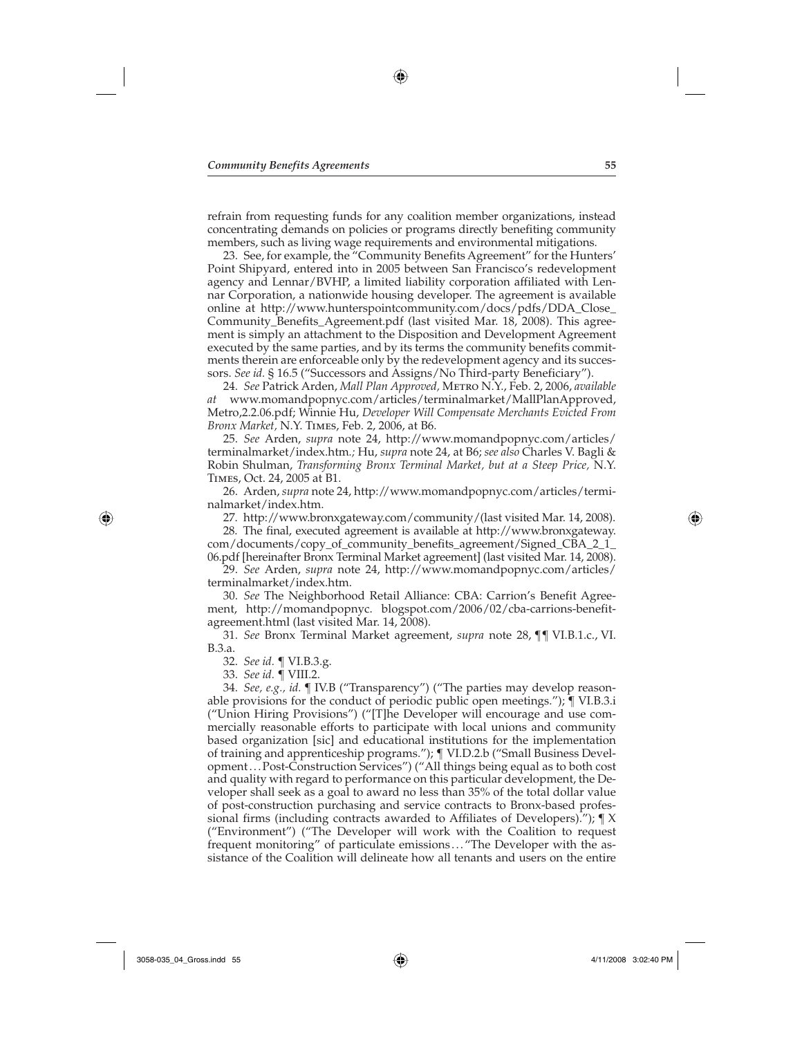refrain from requesting funds for any coalition member organizations, instead concentrating demands on policies or programs directly benefiting community members, such as living wage requirements and environmental mitigations.

⊕

23. See, for example, the "Community Benefits Agreement" for the Hunters' Point Shipyard, entered into in 2005 between San Francisco's redevelopment agency and Lennar/BVHP, a limited liability corporation affiliated with Lennar Corporation, a nationwide housing developer. The agreement is available online at http://www.hunterspointcommunity.com/docs/pdfs/DDA\_Close\_ Community\_Benefits\_Agreement.pdf (last visited Mar. 18, 2008). This agreement is simply an attachment to the Disposition and Development Agreement executed by the same parties, and by its terms the community benefits commitments therein are enforceable only by the redevelopment agency and its successors. *See id.* § 16.5 ("Successors and Assigns/No Third-party Beneficiary").

24. *See* Patrick Arden, *Mall Plan Approved,* Metro N.Y., Feb. 2, 2006, *available at* www.momandpopnyc.com/articles/terminalmarket/MallPlanApproved, Metro,2.2.06.pdf; Winnie Hu, *Developer Will Compensate Merchants Evicted From Bronx Market,* N.Y. Times, Feb. 2, 2006, at B6.

25. *See* Arden, *supra* note 24, http://www.momandpopnyc.com/articles/ terminalmarket/index.htm*.;* Hu, *supra* note 24, at B6; *see also* Charles V. Bagli & Robin Shulman, *Transforming Bronx Terminal Market, but at a Steep Price,* N.Y. Times, Oct. 24, 2005 at B1.

26. Arden, *supra* note 24, http://www.momandpopnyc.com/articles/terminalmarket/index.htm.

27. http://www.bronxgateway.com/community/(last visited Mar. 14, 2008).

28. The final, executed agreement is available at http://www.bronxgateway. com/documents/copy\_of\_community\_benefits\_agreement/Signed\_CBA\_2\_1\_ 06.pdf [hereinafter Bronx Terminal Market agreement] (last visited Mar. 14, 2008).

29. *See* Arden, *supra* note 24, http://www.momandpopnyc.com/articles/ terminalmarket/index.htm.

30. *See* The Neighborhood Retail Alliance: CBA: Carrion's Benefit Agreement, http://momandpopnyc. blogspot.com/2006/02/cba-carrions-benefitagreement.html (last visited Mar. 14, 2008).

31. *See* Bronx Terminal Market agreement, *supra* note 28, ¶¶ VI.B.1.c., VI. B.3.a.

32. *See id.* ¶ VI.B.3.g.

33. *See id.* ¶ VIII.2.

34. *See, e.g., id.* ¶ IV.B ("Transparency") ("The parties may develop reasonable provisions for the conduct of periodic public open meetings."); ¶ VI.B.3.i ("Union Hiring Provisions") ("[T]he Developer will encourage and use commercially reasonable efforts to participate with local unions and community based organization [sic] and educational institutions for the implementation of training and apprenticeship programs."); ¶ VI.D.2.b ("Small Business Development . . . Post-Construction Services") ("All things being equal as to both cost and quality with regard to performance on this particular development, the Developer shall seek as a goal to award no less than 35% of the total dollar value of post-construction purchasing and service contracts to Bronx-based professional firms (including contracts awarded to Affiliates of Developers)."); ¶ X ("Environment") ("The Developer will work with the Coalition to request frequent monitoring" of particulate emissions... "The Developer with the assistance of the Coalition will delineate how all tenants and users on the entire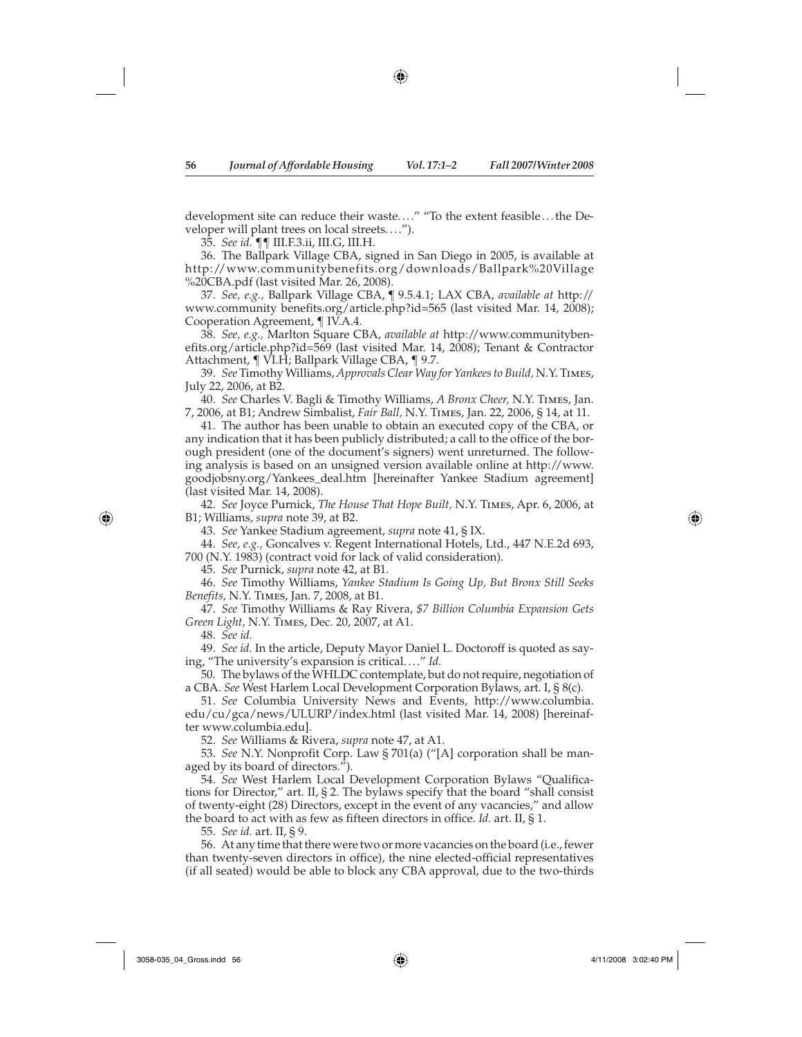development site can reduce their waste...." "To the extent feasible...the Developer will plant trees on local streets. . . .").

35. *See id.* ¶¶ III.F.3.ii, III.G, III.H.

36. The Ballpark Village CBA, signed in San Diego in 2005, is available at http://www.communitybenefits.org/downloads/Ballpark%20Village %20CBA.pdf (last visited Mar. 26, 2008).

37. *See, e.g.,* Ballpark Village CBA, ¶ 9.5.4.1; LAX CBA, *available at* http:// www.community benefits.org/article.php?id=565 (last visited Mar. 14, 2008); Cooperation Agreement, ¶ IV.A.4.

38. *See, e.g.,* Marlton Square CBA, *available at* http://www.communitybenefits.org/article.php?id=569 (last visited Mar. 14, 2008); Tenant & Contractor Attachment, ¶ VI.H; Ballpark Village CBA, ¶ 9.7.

39. *See* Timothy Williams, *Approvals Clear Way for Yankees to Build,* N.Y. Times, July 22, 2006, at B2.

40. *See* Charles V. Bagli & Timothy Williams, *A Bronx Cheer,* N.Y. Times, Jan. 7, 2006, at B1; Andrew Simbalist, *Fair Ball,* N.Y. Times, Jan. 22, 2006, § 14, at 11.

41. The author has been unable to obtain an executed copy of the CBA, or any indication that it has been publicly distributed; a call to the office of the borough president (one of the document's signers) went unreturned. The following analysis is based on an unsigned version available online at http://www. goodjobsny.org/Yankees\_deal.htm [hereinafter Yankee Stadium agreement] (last visited Mar. 14, 2008).

42. *See* Joyce Purnick, *The House That Hope Built,* N.Y. Times, Apr. 6, 2006, at B1; Williams, *supra* note 39, at B2.

43. *See* Yankee Stadium agreement, *supra* note 41, § IX.

44. *See, e.g.,* Goncalves v. Regent International Hotels, Ltd., 447 N.E.2d 693, 700 (N.Y. 1983) (contract void for lack of valid consideration).

45. *See* Purnick, *supra* note 42, at B1.

46. *See* Timothy Williams, *Yankee Stadium Is Going Up, But Bronx Still Seeks Benefits,* N.Y. Times, Jan. 7, 2008, at B1.

47. *See* Timothy Williams & Ray Rivera, *\$7 Billion Columbia Expansion Gets Green Light,* N.Y. Times, Dec. 20, 2007, at A1.

48. *See id.*

 $\bigoplus$ 

49. *See id.* In the article, Deputy Mayor Daniel L. Doctoroff is quoted as saying, "The university's expansion is critical. . . ." *Id.*

50. The bylaws of the WHLDC contemplate, but do not require, negotiation of a CBA. *See* West Harlem Local Development Corporation Bylaws, art. I, § 8(c).

51. *See* Columbia University News and Events, http://www.columbia. edu/cu/gca/news/ULURP/index.html (last visited Mar. 14, 2008) [hereinafter www.columbia.edu].

52. *See* Williams & Rivera, *supra* note 47, at A1.

53. *See* N.Y. Nonprofit Corp. Law § 701(a) ("[A] corporation shall be managed by its board of directors.").

54. *See* West Harlem Local Development Corporation Bylaws "Qualifications for Director," art. II, § 2. The bylaws specify that the board "shall consist of twenty-eight (28) Directors, except in the event of any vacancies," and allow the board to act with as few as fifteen directors in office. *Id.* art. II, § 1.

55. *See id.* art. II, § 9.

56. At any time that there were two or more vacancies on the board (i.e., fewer than twenty-seven directors in office), the nine elected-official representatives (if all seated) would be able to block any CBA approval, due to the two-thirds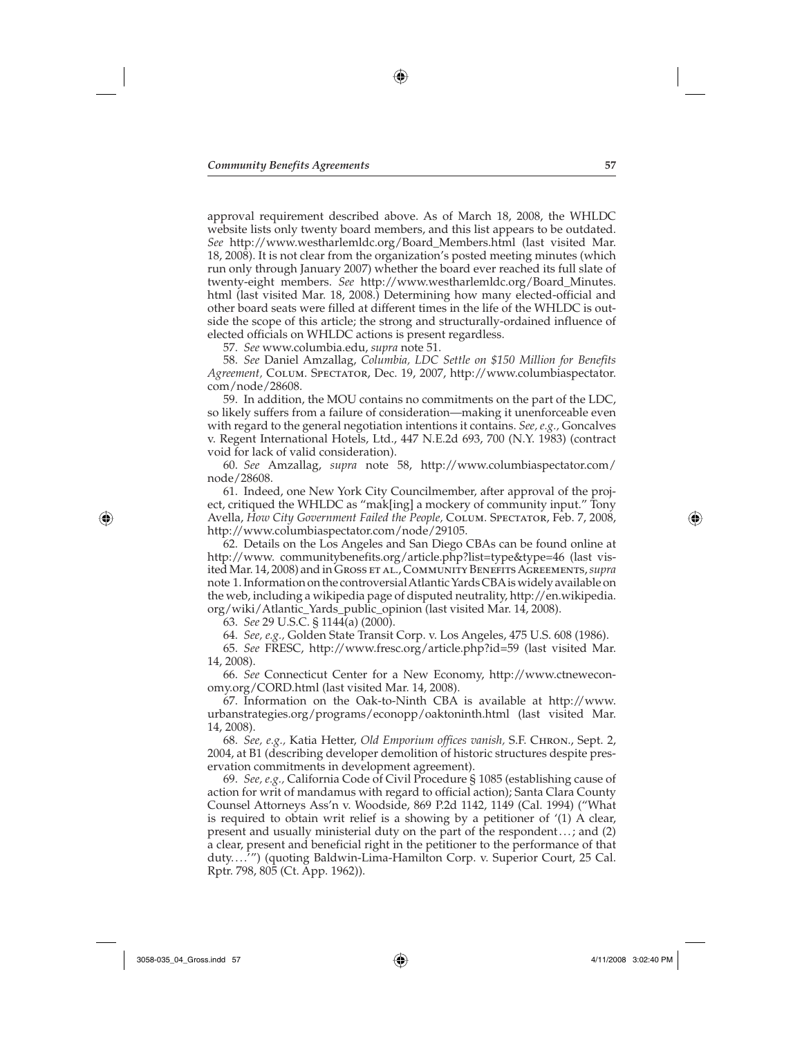approval requirement described above. As of March 18, 2008, the WHLDC website lists only twenty board members, and this list appears to be outdated. *See* http://www.westharlemldc.org/Board\_Members.html (last visited Mar. 18, 2008). It is not clear from the organization's posted meeting minutes (which run only through January 2007) whether the board ever reached its full slate of twenty-eight members. *See* http://www.westharlemldc.org/Board\_Minutes. html (last visited Mar. 18, 2008.) Determining how many elected-official and other board seats were filled at different times in the life of the WHLDC is outside the scope of this article; the strong and structurally-ordained influence of elected officials on WHLDC actions is present regardless.

⊕

57. *See* www.columbia.edu, *supra* note 51.

58. *See* Daniel Amzallag, *Columbia, LDC Settle on \$150 Million for Benefits Agreement,* Colum. Spectator, Dec. 19, 2007, http://www.columbiaspectator. com/node/28608.

59. In addition, the MOU contains no commitments on the part of the LDC, so likely suffers from a failure of consideration—making it unenforceable even with regard to the general negotiation intentions it contains. *See, e.g.,* Goncalves v. Regent International Hotels, Ltd., 447 N.E.2d 693, 700 (N.Y. 1983) (contract void for lack of valid consideration).

60. *See* Amzallag, *supra* note 58, http://www.columbiaspectator.com/ node/28608.

61. Indeed, one New York City Councilmember, after approval of the project, critiqued the WHLDC as "mak[ing] a mockery of community input." Tony Avella, *How City Government Failed the People,* Colum. Spectator, Feb. 7, 2008, http://www.columbiaspectator.com/node/29105.

62. Details on the Los Angeles and San Diego CBAs can be found online at http://www. communitybenefits.org/article.php?list=type&type=46 (last visited Mar. 14, 2008) and in Gross et al., Community Benefits Agreements, *supra*  note 1. Information on the controversial Atlantic Yards CBA is widely available on the web, including a wikipedia page of disputed neutrality, http://en.wikipedia. org/wiki/Atlantic\_Yards\_public\_opinion (last visited Mar. 14, 2008).

63. *See* 29 U.S.C. § 1144(a) (2000).

64. *See, e.g.,* Golden State Transit Corp. v. Los Angeles, 475 U.S. 608 (1986).

65. *See* FRESC, http://www.fresc.org/article.php?id=59 (last visited Mar. 14, 2008).

66. *See* Connecticut Center for a New Economy, http://www.ctneweconomy.org/CORD.html (last visited Mar. 14, 2008).

67. Information on the Oak-to-Ninth CBA is available at http://www. urbanstrategies.org/programs/econopp/oaktoninth.html (last visited Mar. 14, 2008).

68. *See, e.g.,* Katia Hetter, *Old Emporium offices vanish,* S.F. Chron., Sept. 2, 2004, at B1 (describing developer demolition of historic structures despite preservation commitments in development agreement).

69. *See, e.g.,* California Code of Civil Procedure § 1085 (establishing cause of action for writ of mandamus with regard to official action); Santa Clara County Counsel Attorneys Ass'n v. Woodside, 869 P.2d 1142, 1149 (Cal. 1994) ("What is required to obtain writ relief is a showing by a petitioner of '(1) A clear, present and usually ministerial duty on the part of the respondent...; and  $(2)$ a clear, present and beneficial right in the petitioner to the performance of that duty. . . .' ") (quoting Baldwin-Lima-Hamilton Corp. v. Superior Court, 25 Cal. Rptr. 798, 805 (Ct. App. 1962)).

 $\bigoplus$